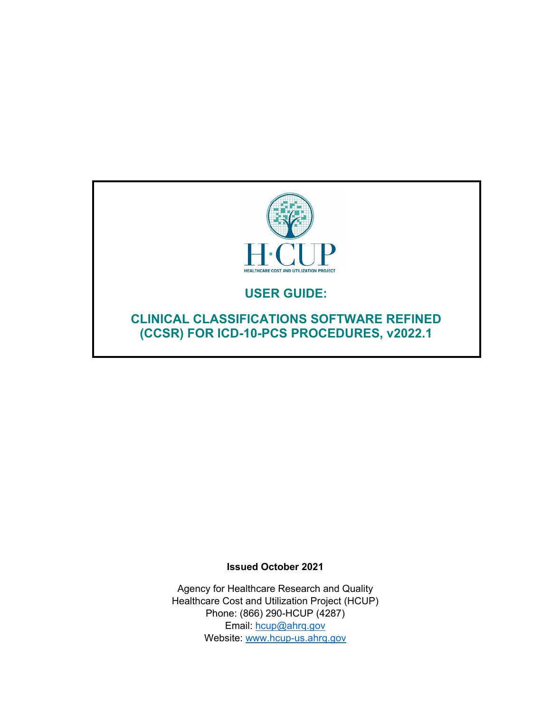

# **USER GUIDE:**

**CLINICAL CLASSIFICATIONS SOFTWARE REFINED (CCSR) FOR ICD-10-PCS PROCEDURES, v2022.1**

#### **Issued October 2021**

Agency for Healthcare Research and Quality Healthcare Cost and Utilization Project (HCUP) Phone: (866) 290-HCUP (4287) Email: [hcup@ahrq.gov](mailto:hcup@ahrq.gov) Website: [www.hcup-us.ahrq.gov](http://www.hcup-us.ahrq.gov/)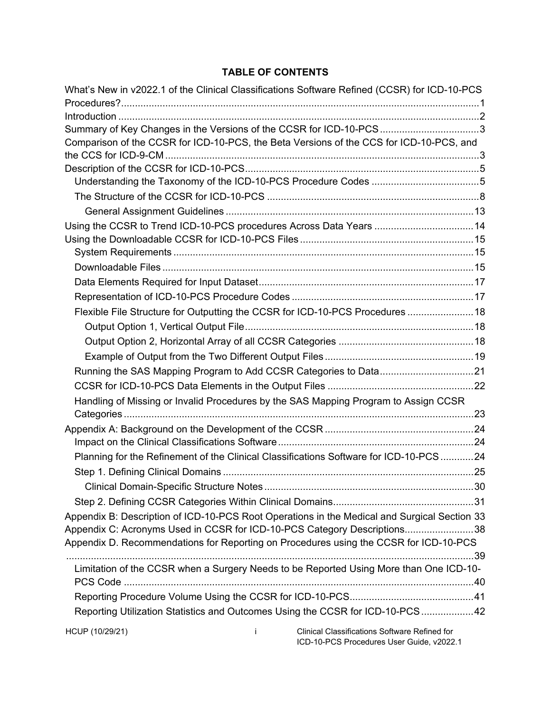# **TABLE OF CONTENTS**

|                      | What's New in v2022.1 of the Clinical Classifications Software Refined (CCSR) for ICD-10-PCS |
|----------------------|----------------------------------------------------------------------------------------------|
|                      | Summary of Key Changes in the Versions of the CCSR for ICD-10-PCS3                           |
|                      | Comparison of the CCSR for ICD-10-PCS, the Beta Versions of the CCS for ICD-10-PCS, and      |
|                      |                                                                                              |
|                      |                                                                                              |
|                      |                                                                                              |
|                      |                                                                                              |
|                      |                                                                                              |
|                      | Using the CCSR to Trend ICD-10-PCS procedures Across Data Years  14                          |
|                      |                                                                                              |
|                      |                                                                                              |
|                      |                                                                                              |
|                      |                                                                                              |
|                      |                                                                                              |
|                      | Flexible File Structure for Outputting the CCSR for ICD-10-PCS Procedures  18                |
|                      |                                                                                              |
|                      |                                                                                              |
|                      |                                                                                              |
|                      |                                                                                              |
|                      |                                                                                              |
|                      | Handling of Missing or Invalid Procedures by the SAS Mapping Program to Assign CCSR          |
|                      |                                                                                              |
|                      |                                                                                              |
|                      |                                                                                              |
|                      | Planning for the Refinement of the Clinical Classifications Software for ICD-10-PCS 24       |
|                      |                                                                                              |
|                      |                                                                                              |
|                      |                                                                                              |
|                      | Appendix B: Description of ICD-10-PCS Root Operations in the Medical and Surgical Section 33 |
|                      | Appendix C: Acronyms Used in CCSR for ICD-10-PCS Category Descriptions38                     |
|                      | Appendix D. Recommendations for Reporting on Procedures using the CCSR for ICD-10-PCS        |
|                      |                                                                                              |
|                      | Limitation of the CCSR when a Surgery Needs to be Reported Using More than One ICD-10-       |
|                      |                                                                                              |
|                      |                                                                                              |
|                      | Reporting Utilization Statistics and Outcomes Using the CCSR for ICD-10-PCS 42               |
| HCUP (10/29/21)<br>İ | Clinical Classifications Software Refined for<br>ICD-10-PCS Procedures User Guide, v2022.1   |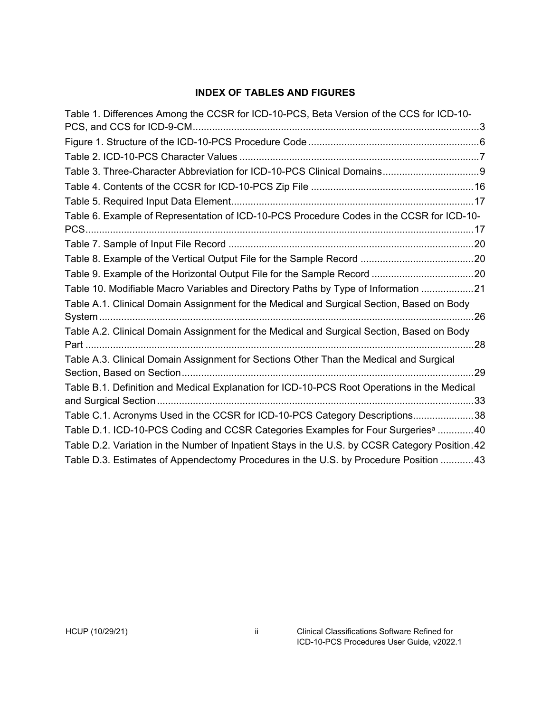# **INDEX OF TABLES AND FIGURES**

| Table 1. Differences Among the CCSR for ICD-10-PCS, Beta Version of the CCS for ICD-10-         |  |
|-------------------------------------------------------------------------------------------------|--|
|                                                                                                 |  |
|                                                                                                 |  |
|                                                                                                 |  |
| Table 3. Three-Character Abbreviation for ICD-10-PCS Clinical Domains 9                         |  |
|                                                                                                 |  |
|                                                                                                 |  |
| Table 6. Example of Representation of ICD-10-PCS Procedure Codes in the CCSR for ICD-10-        |  |
|                                                                                                 |  |
|                                                                                                 |  |
|                                                                                                 |  |
|                                                                                                 |  |
| Table 10. Modifiable Macro Variables and Directory Paths by Type of Information 21              |  |
| Table A.1. Clinical Domain Assignment for the Medical and Surgical Section, Based on Body       |  |
|                                                                                                 |  |
| Table A.2. Clinical Domain Assignment for the Medical and Surgical Section, Based on Body       |  |
|                                                                                                 |  |
| Table A.3. Clinical Domain Assignment for Sections Other Than the Medical and Surgical          |  |
|                                                                                                 |  |
| Table B.1. Definition and Medical Explanation for ICD-10-PCS Root Operations in the Medical     |  |
|                                                                                                 |  |
| Table C.1. Acronyms Used in the CCSR for ICD-10-PCS Category Descriptions38                     |  |
| Table D.1. ICD-10-PCS Coding and CCSR Categories Examples for Four Surgeries <sup>a</sup> 40    |  |
| Table D.2. Variation in the Number of Inpatient Stays in the U.S. by CCSR Category Position. 42 |  |
| Table D.3. Estimates of Appendectomy Procedures in the U.S. by Procedure Position  43           |  |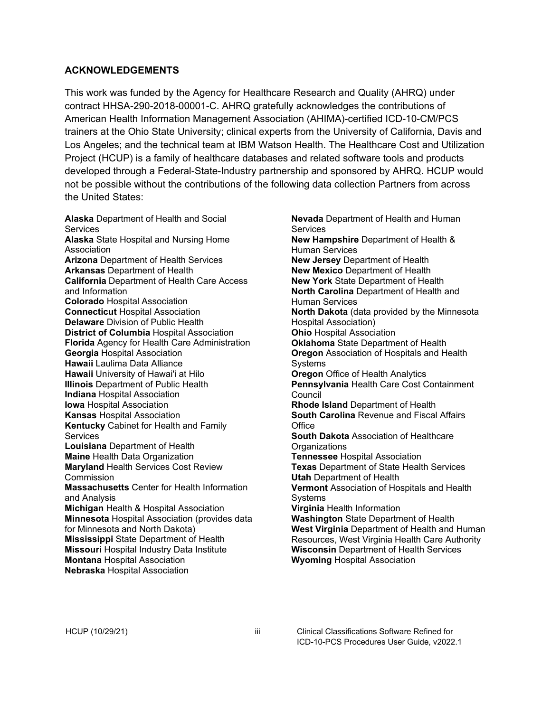#### **ACKNOWLEDGEMENTS**

This work was funded by the Agency for Healthcare Research and Quality (AHRQ) under contract HHSA-290-2018-00001-C. AHRQ gratefully acknowledges the contributions of American Health Information Management Association (AHIMA)-certified ICD-10-CM/PCS trainers at the Ohio State University; clinical experts from the University of California, Davis and Los Angeles; and the technical team at IBM Watson Health. The Healthcare Cost and Utilization Project (HCUP) is a family of healthcare databases and related software tools and products developed through a Federal-State-Industry partnership and sponsored by AHRQ. HCUP would not be possible without the contributions of the following data collection Partners from across the United States:

**Alaska** Department of Health and Social **Services Alaska** State Hospital and Nursing Home Association **Arizona** Department of Health Services **Arkansas** Department of Health **California** Department of Health Care Access and Information **Colorado** Hospital Association **Connecticut** Hospital Association **Delaware** Division of Public Health **District of Columbia Hospital Association Florida** Agency for Health Care Administration **Georgia** Hospital Association **Hawaii** Laulima Data Alliance **Hawaii** University of Hawai'i at Hilo **Illinois** Department of Public Health **Indiana** Hospital Association **Iowa** Hospital Association **Kansas** Hospital Association **Kentucky** Cabinet for Health and Family **Services Louisiana** Department of Health **Maine** Health Data Organization **Maryland** Health Services Cost Review **Commission Massachusetts** Center for Health Information and Analysis **Michigan** Health & Hospital Association **Minnesota** Hospital Association (provides data for Minnesota and North Dakota) **Mississippi** State Department of Health **Missouri** Hospital Industry Data Institute **Montana** Hospital Association **Nebraska** Hospital Association

**Nevada** Department of Health and Human **Services New Hampshire** Department of Health & Human Services **New Jersey** Department of Health **New Mexico** Department of Health **New York** State Department of Health **North Carolina** Department of Health and Human Services **North Dakota** (data provided by the Minnesota Hospital Association) **Ohio** Hospital Association **Oklahoma** State Department of Health **Oregon** Association of Hospitals and Health Systems **Oregon** Office of Health Analytics **Pennsylvania** Health Care Cost Containment **Council Rhode Island** Department of Health **South Carolina** Revenue and Fiscal Affairs **Office South Dakota** Association of Healthcare **Organizations Tennessee** Hospital Association **Texas** Department of State Health Services **Utah** Department of Health **Vermont** Association of Hospitals and Health **Systems Virginia** Health Information **Washington** State Department of Health **West Virginia** Department of Health and Human Resources, West Virginia Health Care Authority **Wisconsin** Department of Health Services **Wyoming** Hospital Association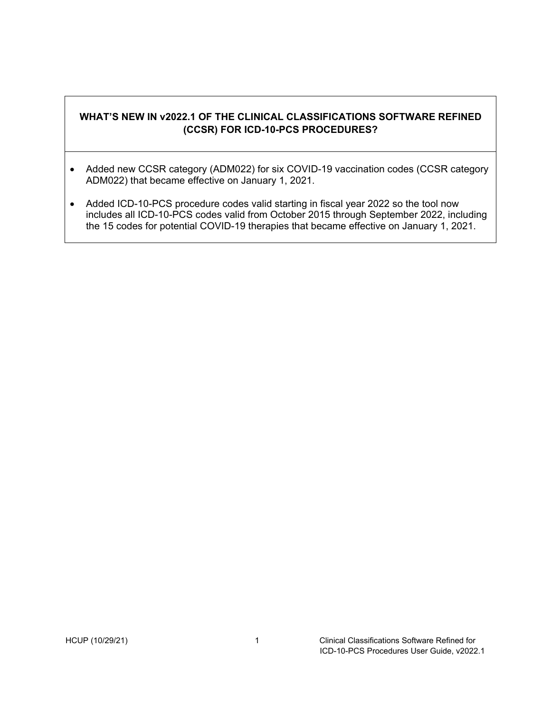# <span id="page-4-0"></span>**WHAT'S NEW IN v2022.1 OF THE CLINICAL CLASSIFICATIONS SOFTWARE REFINED (CCSR) FOR ICD-10-PCS PROCEDURES?**

- Added new CCSR category (ADM022) for six COVID-19 vaccination codes (CCSR category ADM022) that became effective on January 1, 2021.
- Added ICD-10-PCS procedure codes valid starting in fiscal year 2022 so the tool now includes all ICD-10-PCS codes valid from October 2015 through September 2022, including the 15 codes for potential COVID-19 therapies that became effective on January 1, 2021.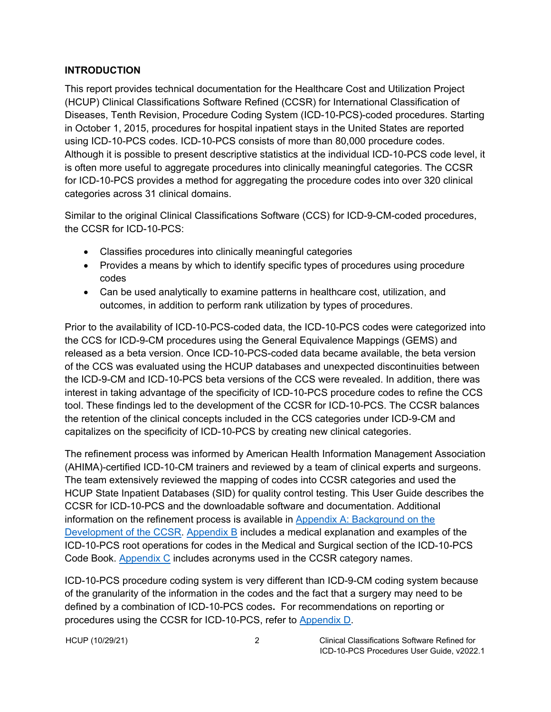#### <span id="page-5-0"></span>**INTRODUCTION**

This report provides technical documentation for the Healthcare Cost and Utilization Project (HCUP) Clinical Classifications Software Refined (CCSR) for International Classification of Diseases, Tenth Revision, Procedure Coding System (ICD-10-PCS)-coded procedures. Starting in October 1, 2015, procedures for hospital inpatient stays in the United States are reported using ICD-10-PCS codes. ICD-10-PCS consists of more than 80,000 procedure codes. Although it is possible to present descriptive statistics at the individual ICD-10-PCS code level, it is often more useful to aggregate procedures into clinically meaningful categories. The CCSR for ICD-10-PCS provides a method for aggregating the procedure codes into over 320 clinical categories across 31 clinical domains.

Similar to the original Clinical Classifications Software (CCS) for ICD-9-CM-coded procedures, the CCSR for ICD-10-PCS:

- Classifies procedures into clinically meaningful categories
- Provides a means by which to identify specific types of procedures using procedure codes
- Can be used analytically to examine patterns in healthcare cost, utilization, and outcomes, in addition to perform rank utilization by types of procedures.

Prior to the availability of ICD-10-PCS-coded data, the ICD-10-PCS codes were categorized into the CCS for ICD-9-CM procedures using the General Equivalence Mappings (GEMS) and released as a beta version. Once ICD-10-PCS-coded data became available, the beta version of the CCS was evaluated using the HCUP databases and unexpected discontinuities between the ICD-9-CM and ICD-10-PCS beta versions of the CCS were revealed. In addition, there was interest in taking advantage of the specificity of ICD-10-PCS procedure codes to refine the CCS tool. These findings led to the development of the CCSR for ICD-10-PCS. The CCSR balances the retention of the clinical concepts included in the CCS categories under ICD-9-CM and capitalizes on the specificity of ICD-10-PCS by creating new clinical categories.

The refinement process was informed by American Health Information Management Association (AHIMA)-certified ICD-10-CM trainers and reviewed by a team of clinical experts and surgeons. The team extensively reviewed the mapping of codes into CCSR categories and used the HCUP State Inpatient Databases (SID) for quality control testing. This User Guide describes the CCSR for ICD-10-PCS and the downloadable software and documentation. Additional information on the refinement process is available in [Appendix A: Background on the](#page-27-0)  [Development of the CCSR.](#page-27-0) [Appendix B](#page-36-0) includes a medical explanation and examples of the ICD-10-PCS root operations for codes in the Medical and Surgical section of the ICD-10-PCS Code Book. **Appendix C** includes acronyms used in the CCSR category names.

ICD-10-PCS procedure coding system is very different than ICD-9-CM coding system because of the granularity of the information in the codes and the fact that a surgery may need to be defined by a combination of ICD-10-PCS codes**.** For recommendations on reporting or procedures using the CCSR for ICD-10-PCS, refer to [Appendix D.](#page-42-0)

HCUP (10/29/21) 2 Clinical Classifications Software Refined for ICD-10-PCS Procedures User Guide, v2022.1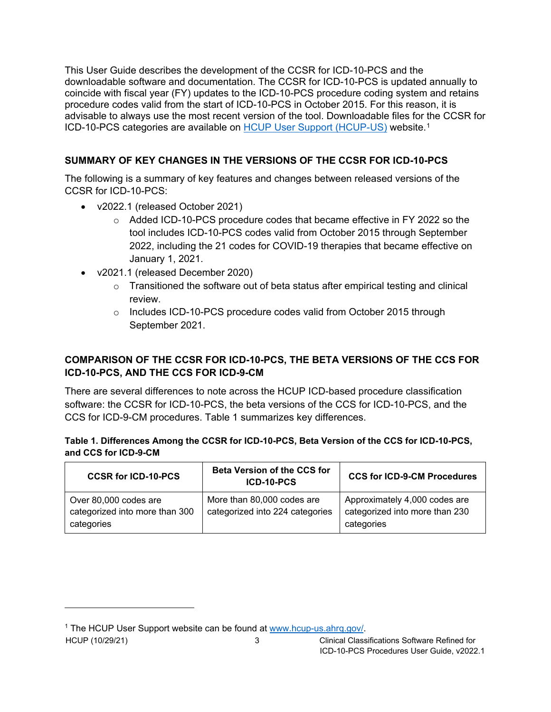This User Guide describes the development of the CCSR for ICD-10-PCS and the downloadable software and documentation. The CCSR for ICD-10-PCS is updated annually to coincide with fiscal year (FY) updates to the ICD-10-PCS procedure coding system and retains procedure codes valid from the start of ICD-10-PCS in October 2015. For this reason, it is advisable to always use the most recent version of the tool. Downloadable files for the CCSR for ICD-10-PCS categories are available on [HCUP User Support \(HCUP-US\)](http://www.hcup-us.ahrq.gov/) website.[1](#page-6-3)

# <span id="page-6-0"></span>**SUMMARY OF KEY CHANGES IN THE VERSIONS OF THE CCSR FOR ICD-10-PCS**

The following is a summary of key features and changes between released versions of the CCSR for ICD-10-PCS:

- v2022.1 (released October 2021)
	- $\circ$  Added ICD-10-PCS procedure codes that became effective in FY 2022 so the tool includes ICD-10-PCS codes valid from October 2015 through September 2022, including the 21 codes for COVID-19 therapies that became effective on January 1, 2021.
- v2021.1 (released December 2020)
	- $\circ$  Transitioned the software out of beta status after empirical testing and clinical review.
	- o Includes ICD-10-PCS procedure codes valid from October 2015 through September 2021.

# <span id="page-6-1"></span>**COMPARISON OF THE CCSR FOR ICD-10-PCS, THE BETA VERSIONS OF THE CCS FOR ICD-10-PCS, AND THE CCS FOR ICD-9-CM**

There are several differences to note across the HCUP ICD-based procedure classification software: the CCSR for ICD-10-PCS, the beta versions of the CCS for ICD-10-PCS, and the CCS for ICD-9-CM procedures. Table 1 summarizes key differences.

#### <span id="page-6-2"></span>**Table 1. Differences Among the CCSR for ICD-10-PCS, Beta Version of the CCS for ICD-10-PCS, and CCS for ICD-9-CM**

| <b>CCSR for ICD-10-PCS</b>                                            | <b>Beta Version of the CCS for</b><br>ICD-10-PCS              | <b>CCS for ICD-9-CM Procedures</b>                                            |
|-----------------------------------------------------------------------|---------------------------------------------------------------|-------------------------------------------------------------------------------|
| Over 80,000 codes are<br>categorized into more than 300<br>categories | More than 80,000 codes are<br>categorized into 224 categories | Approximately 4,000 codes are<br>categorized into more than 230<br>categories |

<span id="page-6-3"></span><sup>1</sup> The HCUP User Support website can be found at [www.hcup-us.ahrq.gov/.](http://www.hcup-us.ahrq.gov/)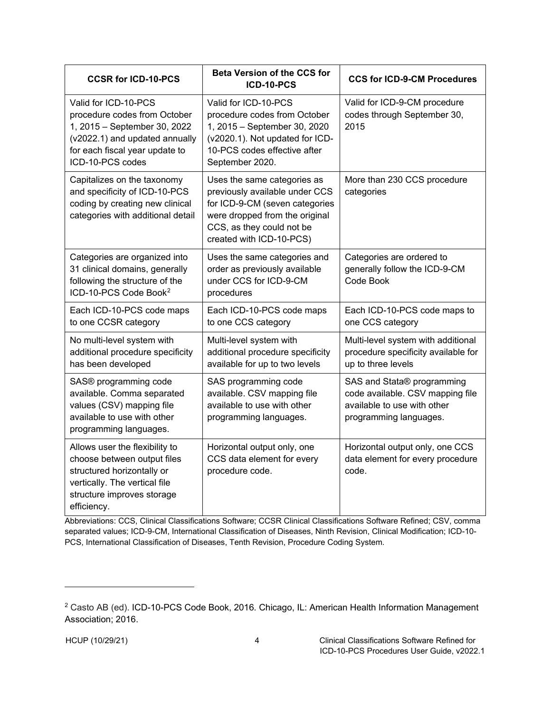| <b>CCSR for ICD-10-PCS</b>                                                                                                                                                   | <b>Beta Version of the CCS for</b><br>ICD-10-PCS                                                                                                                                           | <b>CCS for ICD-9-CM Procedures</b>                                                                                      |  |
|------------------------------------------------------------------------------------------------------------------------------------------------------------------------------|--------------------------------------------------------------------------------------------------------------------------------------------------------------------------------------------|-------------------------------------------------------------------------------------------------------------------------|--|
| Valid for ICD-10-PCS<br>procedure codes from October<br>1, 2015 - September 30, 2022<br>(v2022.1) and updated annually<br>for each fiscal year update to<br>ICD-10-PCS codes | Valid for ICD-10-PCS<br>procedure codes from October<br>1, 2015 - September 30, 2020<br>(v2020.1). Not updated for ICD-<br>10-PCS codes effective after<br>September 2020.                 | Valid for ICD-9-CM procedure<br>codes through September 30,<br>2015                                                     |  |
| Capitalizes on the taxonomy<br>and specificity of ICD-10-PCS<br>coding by creating new clinical<br>categories with additional detail                                         | Uses the same categories as<br>previously available under CCS<br>for ICD-9-CM (seven categories<br>were dropped from the original<br>CCS, as they could not be<br>created with ICD-10-PCS) | More than 230 CCS procedure<br>categories                                                                               |  |
| Categories are organized into<br>31 clinical domains, generally<br>following the structure of the<br>ICD-10-PCS Code Book <sup>2</sup>                                       | Uses the same categories and<br>order as previously available<br>under CCS for ICD-9-CM<br>procedures                                                                                      | Categories are ordered to<br>generally follow the ICD-9-CM<br>Code Book                                                 |  |
| Each ICD-10-PCS code maps<br>to one CCSR category                                                                                                                            | Each ICD-10-PCS code maps<br>to one CCS category                                                                                                                                           | Each ICD-10-PCS code maps to<br>one CCS category                                                                        |  |
| No multi-level system with<br>additional procedure specificity<br>has been developed                                                                                         | Multi-level system with<br>additional procedure specificity<br>available for up to two levels                                                                                              | Multi-level system with additional<br>procedure specificity available for<br>up to three levels                         |  |
| SAS® programming code<br>available. Comma separated<br>values (CSV) mapping file<br>available to use with other<br>programming languages.                                    | SAS programming code<br>available. CSV mapping file<br>available to use with other<br>programming languages.                                                                               | SAS and Stata® programming<br>code available. CSV mapping file<br>available to use with other<br>programming languages. |  |
| Allows user the flexibility to<br>choose between output files<br>structured horizontally or<br>vertically. The vertical file<br>structure improves storage<br>efficiency.    | Horizontal output only, one<br>CCS data element for every<br>procedure code.                                                                                                               | Horizontal output only, one CCS<br>data element for every procedure<br>code.                                            |  |

Abbreviations: CCS, Clinical Classifications Software; CCSR Clinical Classifications Software Refined; CSV, comma separated values; ICD-9-CM, International Classification of Diseases, Ninth Revision, Clinical Modification; ICD-10- PCS, International Classification of Diseases, Tenth Revision, Procedure Coding System.

<span id="page-7-0"></span><sup>2</sup> Casto AB (ed). ICD-10-PCS Code Book, 2016*.* Chicago, IL: American Health Information Management Association; 2016.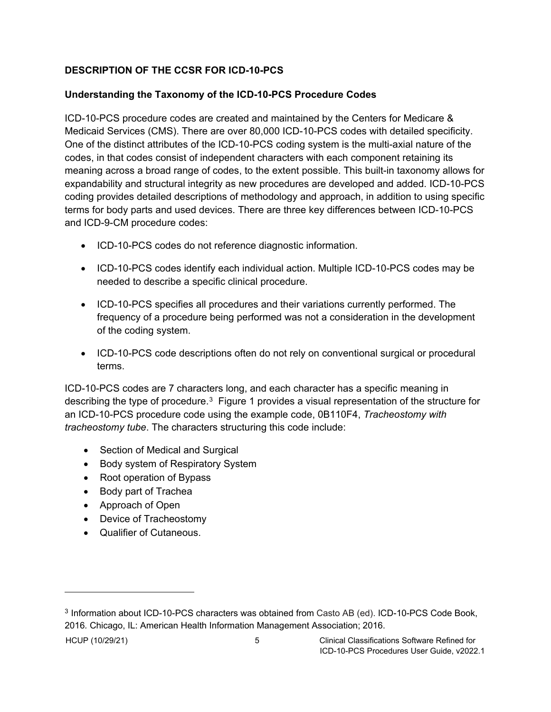# <span id="page-8-0"></span>**DESCRIPTION OF THE CCSR FOR ICD-10-PCS**

### <span id="page-8-1"></span>**Understanding the Taxonomy of the ICD-10-PCS Procedure Codes**

ICD-10-PCS procedure codes are created and maintained by the Centers for Medicare & Medicaid Services (CMS). There are over 80,000 ICD-10-PCS codes with detailed specificity. One of the distinct attributes of the ICD-10-PCS coding system is the multi-axial nature of the codes, in that codes consist of independent characters with each component retaining its meaning across a broad range of codes, to the extent possible. This built-in taxonomy allows for expandability and structural integrity as new procedures are developed and added. ICD-10-PCS coding provides detailed descriptions of methodology and approach, in addition to using specific terms for body parts and used devices. There are three key differences between ICD-10-PCS and ICD-9-CM procedure codes:

- ICD-10-PCS codes do not reference diagnostic information.
- ICD-10-PCS codes identify each individual action. Multiple ICD-10-PCS codes may be needed to describe a specific clinical procedure.
- ICD-10-PCS specifies all procedures and their variations currently performed. The frequency of a procedure being performed was not a consideration in the development of the coding system.
- ICD-10-PCS code descriptions often do not rely on conventional surgical or procedural terms.

ICD-10-PCS codes are 7 characters long, and each character has a specific meaning in describing the type of procedure.<sup>3</sup> Figure 1 provides a visual representation of the structure for an ICD-10-PCS procedure code using the example code, 0B110F4, *Tracheostomy with tracheostomy tube*. The characters structuring this code include:

- Section of Medical and Surgical
- Body system of Respiratory System
- Root operation of Bypass
- Body part of Trachea
- Approach of Open
- Device of Tracheostomy
- Qualifier of Cutaneous.

<span id="page-8-2"></span><sup>3</sup> Information about ICD-10-PCS characters was obtained from Casto AB (ed). ICD-10-PCS Code Book, 2016*.* Chicago, IL: American Health Information Management Association; 2016.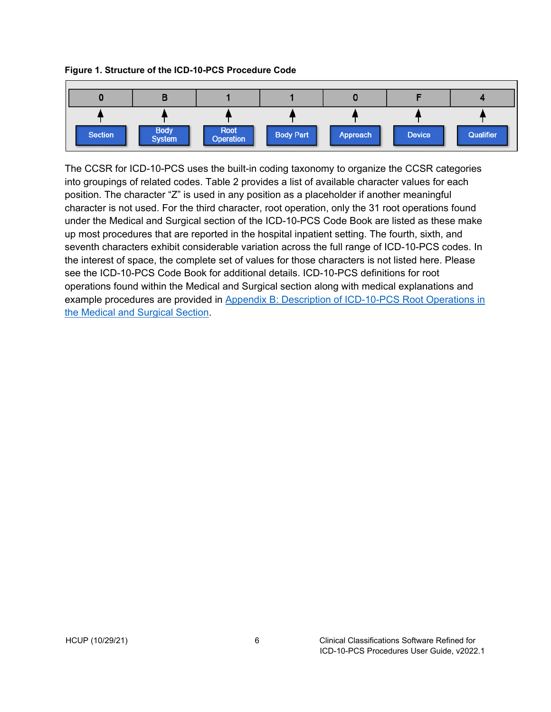#### <span id="page-9-0"></span>**Figure 1. Structure of the ICD-10-PCS Procedure Code**



The CCSR for ICD-10-PCS uses the built-in coding taxonomy to organize the CCSR categories into groupings of related codes. Table 2 provides a list of available character values for each position. The character "Z" is used in any position as a placeholder if another meaningful character is not used. For the third character, root operation, only the 31 root operations found under the Medical and Surgical section of the ICD-10-PCS Code Book are listed as these make up most procedures that are reported in the hospital inpatient setting. The fourth, sixth, and seventh characters exhibit considerable variation across the full range of ICD-10-PCS codes. In the interest of space, the complete set of values for those characters is not listed here. Please see the ICD-10-PCS Code Book for additional details. ICD-10-PCS definitions for root operations found within the Medical and Surgical section along with medical explanations and example procedures are provided in Appendix B: Description of [ICD-10-PCS Root Operations in](#page-36-0)  [the Medical and Surgical Section.](#page-36-0)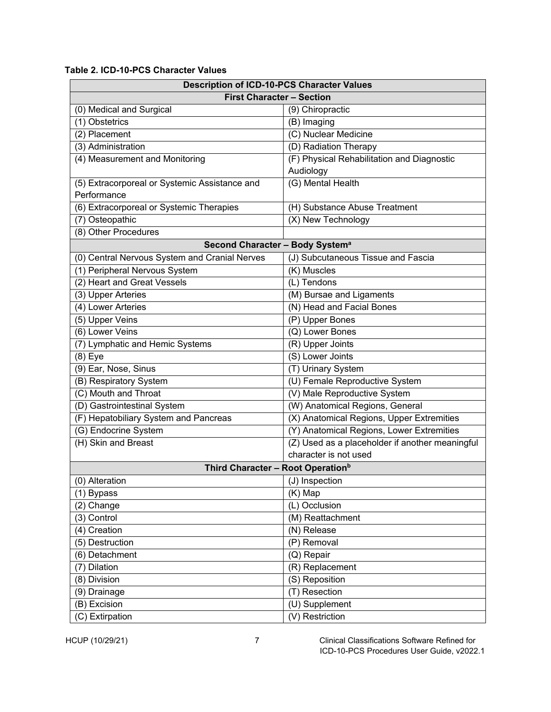#### <span id="page-10-0"></span>**Table 2. ICD-10-PCS Character Values**

| <b>Description of ICD-10-PCS Character Values</b> |                                                 |  |  |
|---------------------------------------------------|-------------------------------------------------|--|--|
| <b>First Character - Section</b>                  |                                                 |  |  |
| (0) Medical and Surgical                          | (9) Chiropractic                                |  |  |
| (1) Obstetrics                                    | (B) Imaging                                     |  |  |
| (2) Placement                                     | (C) Nuclear Medicine                            |  |  |
| (3) Administration                                | (D) Radiation Therapy                           |  |  |
| (4) Measurement and Monitoring                    | (F) Physical Rehabilitation and Diagnostic      |  |  |
|                                                   | Audiology                                       |  |  |
| (5) Extracorporeal or Systemic Assistance and     | (G) Mental Health                               |  |  |
| Performance                                       |                                                 |  |  |
| (6) Extracorporeal or Systemic Therapies          | (H) Substance Abuse Treatment                   |  |  |
| (7) Osteopathic                                   | (X) New Technology                              |  |  |
| (8) Other Procedures                              |                                                 |  |  |
| Second Character - Body System <sup>a</sup>       |                                                 |  |  |
| (0) Central Nervous System and Cranial Nerves     | (J) Subcutaneous Tissue and Fascia              |  |  |
| (1) Peripheral Nervous System                     | (K) Muscles                                     |  |  |
| (2) Heart and Great Vessels                       | (L) Tendons                                     |  |  |
| (3) Upper Arteries                                | (M) Bursae and Ligaments                        |  |  |
| (4) Lower Arteries                                | (N) Head and Facial Bones                       |  |  |
| (5) Upper Veins                                   | (P) Upper Bones                                 |  |  |
| (6) Lower Veins                                   | (Q) Lower Bones                                 |  |  |
| (7) Lymphatic and Hemic Systems                   | (R) Upper Joints                                |  |  |
| $(8)$ Eye                                         | (S) Lower Joints                                |  |  |
| (9) Ear, Nose, Sinus                              | (T) Urinary System                              |  |  |
| (B) Respiratory System                            | (U) Female Reproductive System                  |  |  |
| (C) Mouth and Throat                              | (V) Male Reproductive System                    |  |  |
| (D) Gastrointestinal System                       | (W) Anatomical Regions, General                 |  |  |
| (F) Hepatobiliary System and Pancreas             | (X) Anatomical Regions, Upper Extremities       |  |  |
| (G) Endocrine System                              | (Y) Anatomical Regions, Lower Extremities       |  |  |
| (H) Skin and Breast                               | (Z) Used as a placeholder if another meaningful |  |  |
|                                                   | character is not used                           |  |  |
| Third Character - Root Operation <sup>b</sup>     |                                                 |  |  |
| (0) Alteration                                    | (J) Inspection                                  |  |  |
| (1) Bypass                                        | (K) Map                                         |  |  |
| (2) Change                                        | (L) Occlusion                                   |  |  |
| (3) Control                                       | (M) Reattachment                                |  |  |
| $(4)$ Creation                                    | (N) Release                                     |  |  |
| (5) Destruction                                   | (P) Removal                                     |  |  |
| (6) Detachment                                    | (Q) Repair                                      |  |  |
| (7) Dilation                                      | (R) Replacement                                 |  |  |
| $\overline{(8)}$ Division                         | (S) Reposition                                  |  |  |
| (9) Drainage                                      | (T) Resection                                   |  |  |
| (B) Excision                                      | $\overline{(U)}$ Supplement                     |  |  |
| (C) Extirpation                                   | (V) Restriction                                 |  |  |

HCUP (10/29/21) 7 Clinical Classifications Software Refined for ICD-10-PCS Procedures User Guide, v2022.1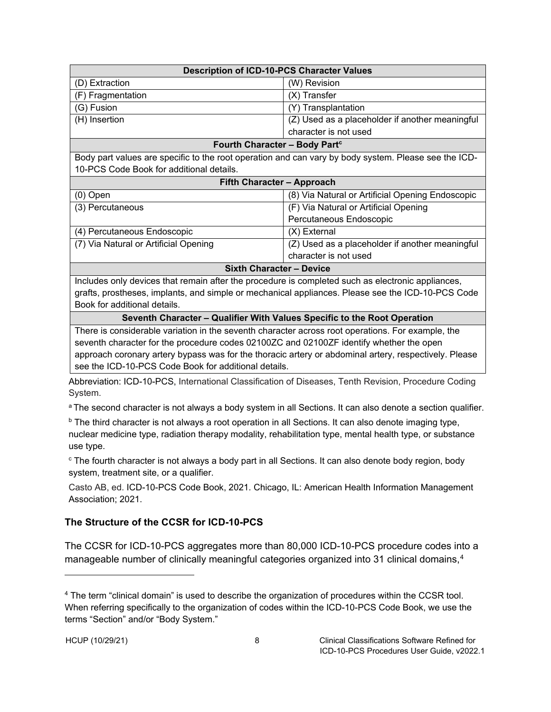| <b>Description of ICD-10-PCS Character Values</b> |                                                 |  |
|---------------------------------------------------|-------------------------------------------------|--|
| (D) Extraction                                    | (W) Revision                                    |  |
| (F) Fragmentation                                 | $(X)$ Transfer                                  |  |
| (G) Fusion                                        | (Y) Transplantation                             |  |
| (H) Insertion                                     | (Z) Used as a placeholder if another meaningful |  |
| character is not used                             |                                                 |  |

#### **Fourth Character - Body Part**<sup>c</sup>

Body part values are specific to the root operation and can vary by body system. Please see the ICD-10-PCS Code Book for additional details.

#### **Fifth Character – Approach**

| -- -- --                              |                                                  |
|---------------------------------------|--------------------------------------------------|
|                                       | character is not used                            |
| (7) Via Natural or Artificial Opening | (Z) Used as a placeholder if another meaningful  |
| (4) Percutaneous Endoscopic           | $(X)$ External                                   |
|                                       | Percutaneous Endoscopic                          |
| (3) Percutaneous                      | (F) Via Natural or Artificial Opening            |
| $(0)$ Open                            | (8) Via Natural or Artificial Opening Endoscopic |
|                                       |                                                  |

#### **Sixth Character – Device**

Includes only devices that remain after the procedure is completed such as electronic appliances, grafts, prostheses, implants, and simple or mechanical appliances. Please see the ICD-10-PCS Code Book for additional details.

#### **Seventh Character – Qualifier With Values Specific to the Root Operation**

There is considerable variation in the seventh character across root operations. For example, the seventh character for the procedure codes 02100ZC and 02100ZF identify whether the open approach coronary artery bypass was for the thoracic artery or abdominal artery, respectively. Please see the ICD-10-PCS Code Book for additional details.

Abbreviation: ICD-10-PCS, International Classification of Diseases, Tenth Revision, Procedure Coding System.

<sup>a</sup> The second character is not always a body system in all Sections. It can also denote a section qualifier.

 $\overline{b}$  The third character is not always a root operation in all Sections. It can also denote imaging type, nuclear medicine type, radiation therapy modality, rehabilitation type, mental health type, or substance use type.

<sup>c</sup> The fourth character is not always a body part in all Sections. It can also denote body region, body system, treatment site, or a qualifier.

Casto AB, ed. ICD-10-PCS Code Book, 2021*.* Chicago, IL: American Health Information Management Association; 2021.

### <span id="page-11-0"></span>**The Structure of the CCSR for ICD-10-PCS**

The CCSR for ICD-10-PCS aggregates more than 80,000 ICD-10-PCS procedure codes into a manageable number of clinically meaningful categories organized into 31 clinical domains,<sup>[4](#page-11-1)</sup>

<span id="page-11-1"></span><sup>4</sup> The term "clinical domain" is used to describe the organization of procedures within the CCSR tool. When referring specifically to the organization of codes within the ICD-10-PCS Code Book, we use the terms "Section" and/or "Body System."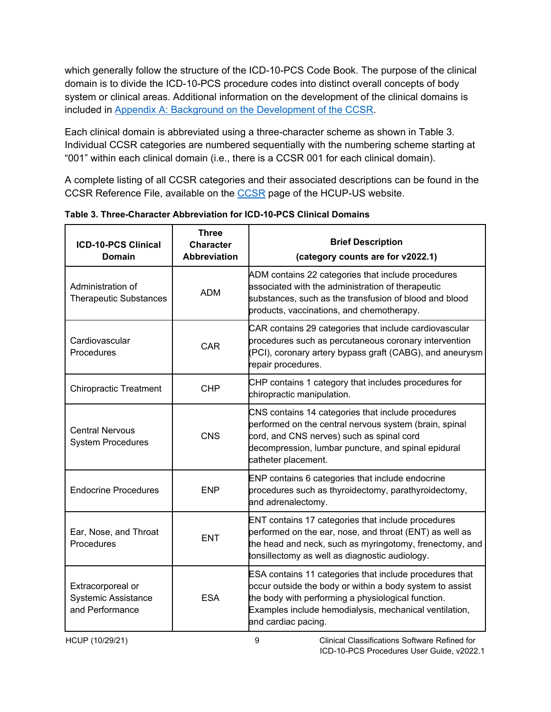which generally follow the structure of the ICD-10-PCS Code Book. The purpose of the clinical domain is to divide the ICD-10-PCS procedure codes into distinct overall concepts of body system or clinical areas. Additional information on the development of the clinical domains is included in [Appendix A: Background on the Development of the CCSR.](#page-27-0)

Each clinical domain is abbreviated using a three-character scheme as shown in Table 3. Individual CCSR categories are numbered sequentially with the numbering scheme starting at "001" within each clinical domain (i.e., there is a CCSR 001 for each clinical domain).

A complete listing of all CCSR categories and their associated descriptions can be found in the CCSR Reference File, available on the [CCSR](http://www.hcup-us.ahrq.gov/toolssoftware/ccsr/ccs_refined.jsp) page of the HCUP-US website.

| <b>ICD-10-PCS Clinical</b><br><b>Domain</b>                        | <b>Three</b><br><b>Character</b><br><b>Abbreviation</b> | <b>Brief Description</b><br>(category counts are for v2022.1)                                                                                                                                                                                              |
|--------------------------------------------------------------------|---------------------------------------------------------|------------------------------------------------------------------------------------------------------------------------------------------------------------------------------------------------------------------------------------------------------------|
| Administration of<br><b>Therapeutic Substances</b>                 | <b>ADM</b>                                              | ADM contains 22 categories that include procedures<br>associated with the administration of therapeutic<br>substances, such as the transfusion of blood and blood<br>products, vaccinations, and chemotherapy.                                             |
| Cardiovascular<br>Procedures                                       | <b>CAR</b>                                              | CAR contains 29 categories that include cardiovascular<br>procedures such as percutaneous coronary intervention<br>(PCI), coronary artery bypass graft (CABG), and aneurysm<br>repair procedures.                                                          |
| <b>Chiropractic Treatment</b>                                      | <b>CHP</b>                                              | CHP contains 1 category that includes procedures for<br>chiropractic manipulation.                                                                                                                                                                         |
| <b>Central Nervous</b><br><b>System Procedures</b>                 | <b>CNS</b>                                              | CNS contains 14 categories that include procedures<br>performed on the central nervous system (brain, spinal<br>cord, and CNS nerves) such as spinal cord<br>decompression, lumbar puncture, and spinal epidural<br>catheter placement.                    |
| <b>Endocrine Procedures</b>                                        | <b>ENP</b>                                              | ENP contains 6 categories that include endocrine<br>procedures such as thyroidectomy, parathyroidectomy,<br>and adrenalectomy.                                                                                                                             |
| Ear, Nose, and Throat<br>Procedures                                | <b>ENT</b>                                              | ENT contains 17 categories that include procedures<br>performed on the ear, nose, and throat (ENT) as well as<br>the head and neck, such as myringotomy, frenectomy, and<br>tonsillectomy as well as diagnostic audiology.                                 |
| Extracorporeal or<br><b>Systemic Assistance</b><br>and Performance | <b>ESA</b>                                              | ESA contains 11 categories that include procedures that<br>occur outside the body or within a body system to assist<br>the body with performing a physiological function.<br>Examples include hemodialysis, mechanical ventilation,<br>and cardiac pacing. |

<span id="page-12-0"></span>**Table 3. Three-Character Abbreviation for ICD-10-PCS Clinical Domains**

HCUP (10/29/21) 9 Clinical Classifications Software Refined for ICD-10-PCS Procedures User Guide, v2022.1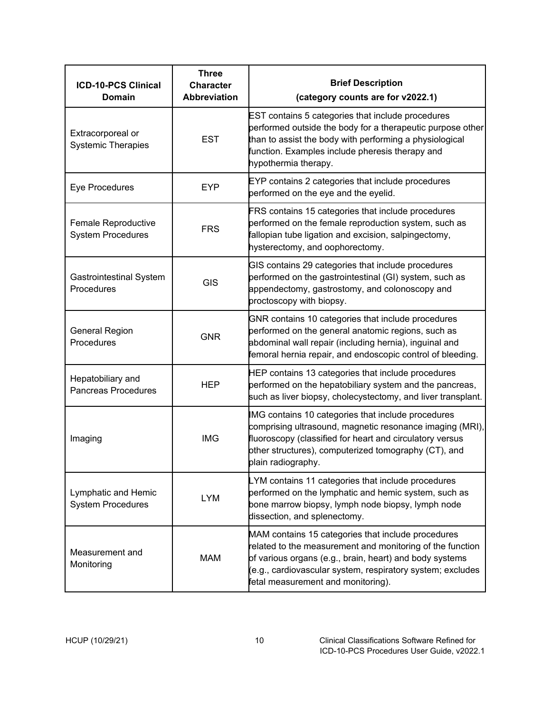| <b>ICD-10-PCS Clinical</b><br>Domain            | <b>Three</b><br><b>Character</b><br><b>Abbreviation</b> | <b>Brief Description</b><br>(category counts are for v2022.1)                                                                                                                                                                                                                  |
|-------------------------------------------------|---------------------------------------------------------|--------------------------------------------------------------------------------------------------------------------------------------------------------------------------------------------------------------------------------------------------------------------------------|
| Extracorporeal or<br><b>Systemic Therapies</b>  | <b>EST</b>                                              | EST contains 5 categories that include procedures<br>performed outside the body for a therapeutic purpose other<br>than to assist the body with performing a physiological<br>function. Examples include pheresis therapy and<br>hypothermia therapy.                          |
| Eye Procedures                                  | <b>EYP</b>                                              | EYP contains 2 categories that include procedures<br>performed on the eye and the eyelid.                                                                                                                                                                                      |
| Female Reproductive<br><b>System Procedures</b> | <b>FRS</b>                                              | FRS contains 15 categories that include procedures<br>performed on the female reproduction system, such as<br>fallopian tube ligation and excision, salpingectomy,<br>hysterectomy, and oophorectomy.                                                                          |
| <b>Gastrointestinal System</b><br>Procedures    | <b>GIS</b>                                              | GIS contains 29 categories that include procedures<br>performed on the gastrointestinal (GI) system, such as<br>appendectomy, gastrostomy, and colonoscopy and<br>proctoscopy with biopsy.                                                                                     |
| General Region<br>Procedures                    | <b>GNR</b>                                              | GNR contains 10 categories that include procedures<br>performed on the general anatomic regions, such as<br>abdominal wall repair (including hernia), inguinal and<br>femoral hernia repair, and endoscopic control of bleeding.                                               |
| Hepatobiliary and<br><b>Pancreas Procedures</b> | <b>HEP</b>                                              | HEP contains 13 categories that include procedures<br>performed on the hepatobiliary system and the pancreas,<br>such as liver biopsy, cholecystectomy, and liver transplant.                                                                                                  |
| Imaging                                         | <b>IMG</b>                                              | IMG contains 10 categories that include procedures<br>comprising ultrasound, magnetic resonance imaging (MRI),<br>fluoroscopy (classified for heart and circulatory versus<br>other structures), computerized tomography (CT), and<br>plain radiography.                       |
| Lymphatic and Hemic<br><b>System Procedures</b> | <b>LYM</b>                                              | LYM contains 11 categories that include procedures<br>performed on the lymphatic and hemic system, such as<br>bone marrow biopsy, lymph node biopsy, lymph node<br>dissection, and splenectomy.                                                                                |
| Measurement and<br>Monitoring                   | <b>MAM</b>                                              | MAM contains 15 categories that include procedures<br>related to the measurement and monitoring of the function<br>of various organs (e.g., brain, heart) and body systems<br>(e.g., cardiovascular system, respiratory system; excludes<br>fetal measurement and monitoring). |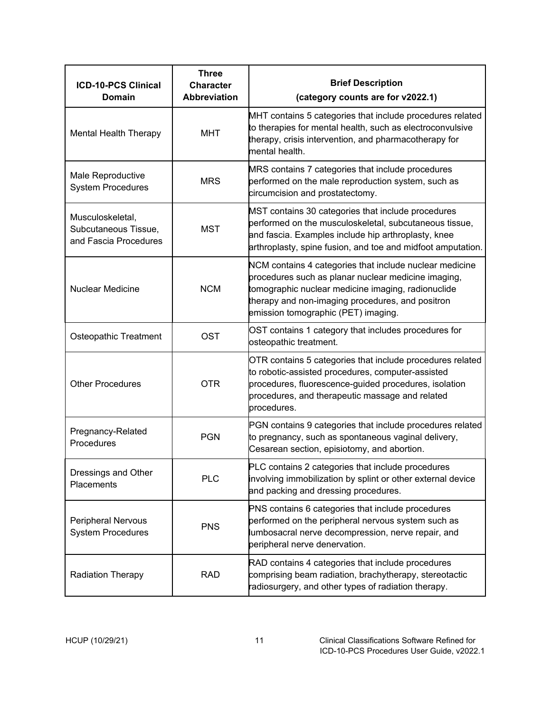| <b>ICD-10-PCS Clinical</b><br><b>Domain</b>                       | <b>Three</b><br><b>Character</b><br><b>Abbreviation</b> | <b>Brief Description</b><br>(category counts are for v2022.1)                                                                                                                                                                                                   |
|-------------------------------------------------------------------|---------------------------------------------------------|-----------------------------------------------------------------------------------------------------------------------------------------------------------------------------------------------------------------------------------------------------------------|
| <b>Mental Health Therapy</b>                                      | <b>MHT</b>                                              | MHT contains 5 categories that include procedures related<br>to therapies for mental health, such as electroconvulsive<br>therapy, crisis intervention, and pharmacotherapy for<br>mental health.                                                               |
| Male Reproductive<br><b>System Procedures</b>                     | <b>MRS</b>                                              | MRS contains 7 categories that include procedures<br>performed on the male reproduction system, such as<br>circumcision and prostatectomy.                                                                                                                      |
| Musculoskeletal,<br>Subcutaneous Tissue,<br>and Fascia Procedures | <b>MST</b>                                              | MST contains 30 categories that include procedures<br>performed on the musculoskeletal, subcutaneous tissue,<br>and fascia. Examples include hip arthroplasty, knee<br>arthroplasty, spine fusion, and toe and midfoot amputation.                              |
| <b>Nuclear Medicine</b>                                           | <b>NCM</b>                                              | NCM contains 4 categories that include nuclear medicine<br>procedures such as planar nuclear medicine imaging,<br>tomographic nuclear medicine imaging, radionuclide<br>therapy and non-imaging procedures, and positron<br>emission tomographic (PET) imaging. |
| Osteopathic Treatment                                             | <b>OST</b>                                              | OST contains 1 category that includes procedures for<br>osteopathic treatment.                                                                                                                                                                                  |
| <b>Other Procedures</b>                                           | <b>OTR</b>                                              | OTR contains 5 categories that include procedures related<br>to robotic-assisted procedures, computer-assisted<br>procedures, fluorescence-guided procedures, isolation<br>procedures, and therapeutic massage and related<br>procedures.                       |
| Pregnancy-Related<br>Procedures                                   | <b>PGN</b>                                              | PGN contains 9 categories that include procedures related<br>to pregnancy, such as spontaneous vaginal delivery,<br>Cesarean section, episiotomy, and abortion.                                                                                                 |
| Dressings and Other<br>Placements                                 | <b>PLC</b>                                              | PLC contains 2 categories that include procedures<br>involving immobilization by splint or other external device<br>and packing and dressing procedures.                                                                                                        |
| <b>Peripheral Nervous</b><br><b>System Procedures</b>             | <b>PNS</b>                                              | PNS contains 6 categories that include procedures<br>performed on the peripheral nervous system such as<br>lumbosacral nerve decompression, nerve repair, and<br>peripheral nerve denervation.                                                                  |
| <b>Radiation Therapy</b>                                          | <b>RAD</b>                                              | RAD contains 4 categories that include procedures<br>comprising beam radiation, brachytherapy, stereotactic<br>radiosurgery, and other types of radiation therapy.                                                                                              |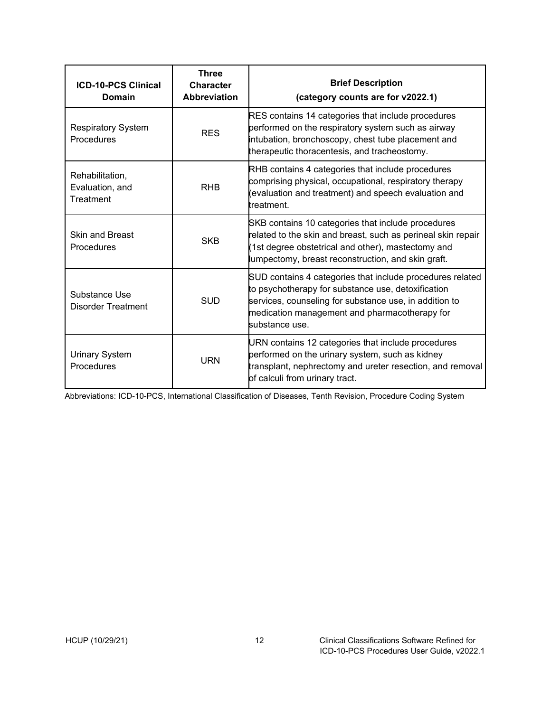| <b>ICD-10-PCS Clinical</b><br>Domain            | <b>Three</b><br><b>Character</b><br><b>Abbreviation</b> | <b>Brief Description</b><br>(category counts are for v2022.1)                                                                                                                                                                                |
|-------------------------------------------------|---------------------------------------------------------|----------------------------------------------------------------------------------------------------------------------------------------------------------------------------------------------------------------------------------------------|
| <b>Respiratory System</b><br>Procedures         | <b>RES</b>                                              | RES contains 14 categories that include procedures<br>performed on the respiratory system such as airway<br>intubation, bronchoscopy, chest tube placement and<br>therapeutic thoracentesis, and tracheostomy.                               |
| Rehabilitation,<br>Evaluation, and<br>Treatment | <b>RHB</b>                                              | RHB contains 4 categories that include procedures<br>comprising physical, occupational, respiratory therapy<br>(evaluation and treatment) and speech evaluation and<br>treatment.                                                            |
| <b>Skin and Breast</b><br>Procedures            | <b>SKB</b>                                              | SKB contains 10 categories that include procedures<br>related to the skin and breast, such as perineal skin repair<br>(1st degree obstetrical and other), mastectomy and<br>lumpectomy, breast reconstruction, and skin graft.               |
| Substance Use<br><b>Disorder Treatment</b>      | <b>SUD</b>                                              | SUD contains 4 categories that include procedures related<br>to psychotherapy for substance use, detoxification<br>services, counseling for substance use, in addition to<br>medication management and pharmacotherapy for<br>substance use. |
| <b>Urinary System</b><br>Procedures             | URN                                                     | URN contains 12 categories that include procedures<br>performed on the urinary system, such as kidney<br>transplant, nephrectomy and ureter resection, and removal<br>of calculi from urinary tract.                                         |

Abbreviations: ICD-10-PCS, International Classification of Diseases, Tenth Revision, Procedure Coding System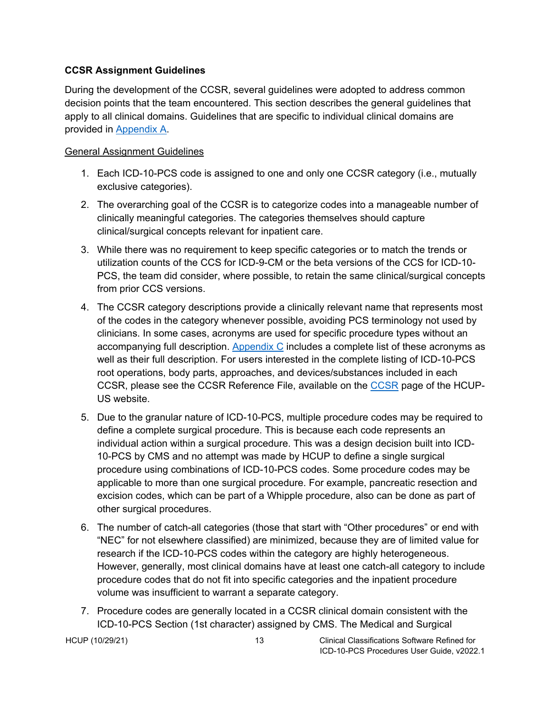#### **CCSR Assignment Guidelines**

During the development of the CCSR, several guidelines were adopted to address common decision points that the team encountered. This section describes the general guidelines that apply to all clinical domains. Guidelines that are specific to individual clinical domains are provided in [Appendix A.](#page-26-1)

#### <span id="page-16-0"></span>General Assignment Guidelines

- 1. Each ICD-10-PCS code is assigned to one and only one CCSR category (i.e., mutually exclusive categories).
- 2. The overarching goal of the CCSR is to categorize codes into a manageable number of clinically meaningful categories. The categories themselves should capture clinical/surgical concepts relevant for inpatient care.
- 3. While there was no requirement to keep specific categories or to match the trends or utilization counts of the CCS for ICD-9-CM or the beta versions of the CCS for ICD-10- PCS, the team did consider, where possible, to retain the same clinical/surgical concepts from prior CCS versions.
- 4. The CCSR category descriptions provide a clinically relevant name that represents most of the codes in the category whenever possible, avoiding PCS terminology not used by clinicians. In some cases, acronyms are used for specific procedure types without an accompanying full description. [Appendix C](#page-41-0) includes a complete list of these acronyms as well as their full description. For users interested in the complete listing of ICD-10-PCS root operations, body parts, approaches, and devices/substances included in each CCSR, please see the [CCSR](http://www.hcup-us.ahrq.gov/toolssoftware/ccsr/ccs_refined.jsp) Reference File, available on the CCSR page of the HCUP-US website.
- 5. Due to the granular nature of ICD-10-PCS, multiple procedure codes may be required to define a complete surgical procedure. This is because each code represents an individual action within a surgical procedure. This was a design decision built into ICD-10-PCS by CMS and no attempt was made by HCUP to define a single surgical procedure using combinations of ICD-10-PCS codes. Some procedure codes may be applicable to more than one surgical procedure. For example, pancreatic resection and excision codes, which can be part of a Whipple procedure, also can be done as part of other surgical procedures.
- 6. The number of catch-all categories (those that start with "Other procedures" or end with "NEC" for not elsewhere classified) are minimized, because they are of limited value for research if the ICD-10-PCS codes within the category are highly heterogeneous. However, generally, most clinical domains have at least one catch-all category to include procedure codes that do not fit into specific categories and the inpatient procedure volume was insufficient to warrant a separate category.
- 7. Procedure codes are generally located in a CCSR clinical domain consistent with the ICD-10-PCS Section (1st character) assigned by CMS. The Medical and Surgical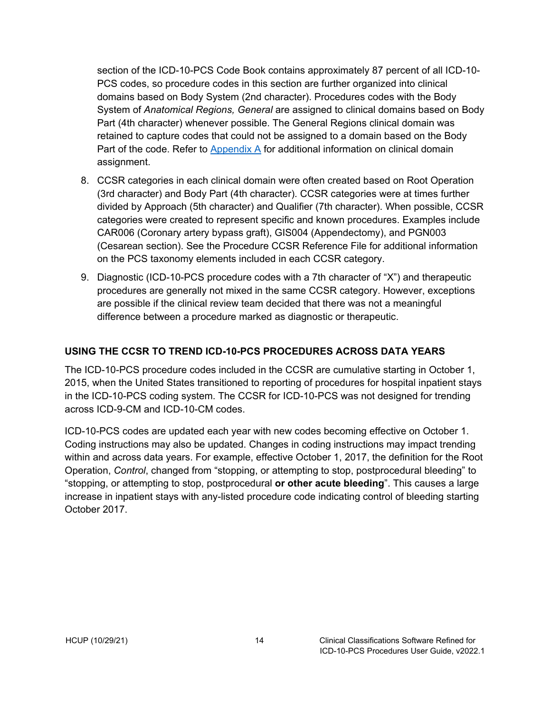section of the ICD-10-PCS Code Book contains approximately 87 percent of all ICD-10- PCS codes, so procedure codes in this section are further organized into clinical domains based on Body System (2nd character). Procedures codes with the Body System of *Anatomical Regions, General* are assigned to clinical domains based on Body Part (4th character) whenever possible. The General Regions clinical domain was retained to capture codes that could not be assigned to a domain based on the Body Part of the code. Refer to [Appendix A](#page-27-0) for additional information on clinical domain assignment.

- 8. CCSR categories in each clinical domain were often created based on Root Operation (3rd character) and Body Part (4th character). CCSR categories were at times further divided by Approach (5th character) and Qualifier (7th character). When possible, CCSR categories were created to represent specific and known procedures. Examples include CAR006 (Coronary artery bypass graft), GIS004 (Appendectomy), and PGN003 (Cesarean section). See the Procedure CCSR Reference File for additional information on the PCS taxonomy elements included in each CCSR category.
- 9. Diagnostic (ICD-10-PCS procedure codes with a 7th character of "X") and therapeutic procedures are generally not mixed in the same CCSR category. However, exceptions are possible if the clinical review team decided that there was not a meaningful difference between a procedure marked as diagnostic or therapeutic.

### <span id="page-17-0"></span>**USING THE CCSR TO TREND ICD-10-PCS PROCEDURES ACROSS DATA YEARS**

The ICD-10-PCS procedure codes included in the CCSR are cumulative starting in October 1, 2015, when the United States transitioned to reporting of procedures for hospital inpatient stays in the ICD-10-PCS coding system. The CCSR for ICD-10-PCS was not designed for trending across ICD-9-CM and ICD-10-CM codes.

ICD-10-PCS codes are updated each year with new codes becoming effective on October 1. Coding instructions may also be updated. Changes in coding instructions may impact trending within and across data years. For example, effective October 1, 2017, the definition for the Root Operation, *Control*, changed from "stopping, or attempting to stop, postprocedural bleeding" to "stopping, or attempting to stop, postprocedural **or other acute bleeding**". This causes a large increase in inpatient stays with any-listed procedure code indicating control of bleeding starting October 2017.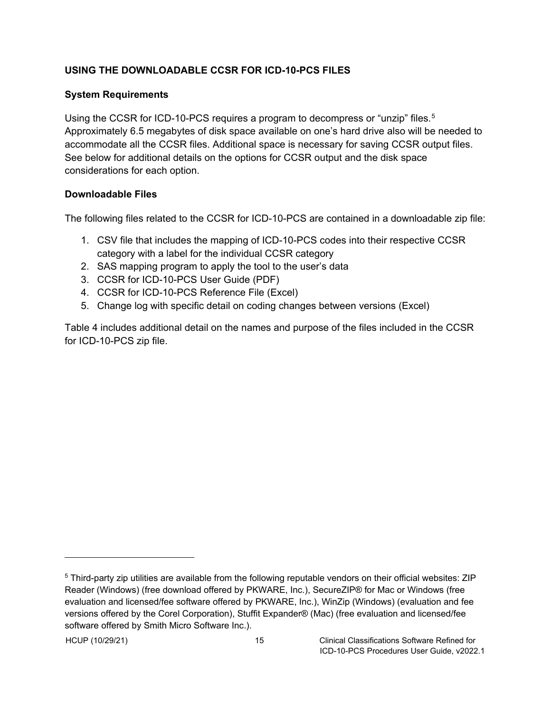### <span id="page-18-0"></span>**USING THE DOWNLOADABLE CCSR FOR ICD-10-PCS FILES**

#### <span id="page-18-1"></span>**System Requirements**

Using the CCSR for ICD-10-PCS requires a program to decompress or "unzip" files.<sup>[5](#page-18-3)</sup> Approximately 6.5 megabytes of disk space available on one's hard drive also will be needed to accommodate all the CCSR files. Additional space is necessary for saving CCSR output files. See below for additional details on the options for CCSR output and the disk space considerations for each option.

#### <span id="page-18-2"></span>**Downloadable Files**

The following files related to the CCSR for ICD-10-PCS are contained in a downloadable zip file:

- 1. CSV file that includes the mapping of ICD-10-PCS codes into their respective CCSR category with a label for the individual CCSR category
- 2. SAS mapping program to apply the tool to the user's data
- 3. CCSR for ICD-10-PCS User Guide (PDF)
- 4. CCSR for ICD-10-PCS Reference File (Excel)
- 5. Change log with specific detail on coding changes between versions (Excel)

Table 4 includes additional detail on the names and purpose of the files included in the CCSR for ICD-10-PCS zip file.

<span id="page-18-3"></span><sup>5</sup> Third-party zip utilities are available from the following reputable vendors on their official websites: ZIP Reader (Windows) (free download offered by PKWARE, Inc.), SecureZIP® for Mac or Windows (free evaluation and licensed/fee software offered by PKWARE, Inc.), WinZip (Windows) (evaluation and fee versions offered by the Corel Corporation), Stuffit Expander® (Mac) (free evaluation and licensed/fee software offered by Smith Micro Software Inc.).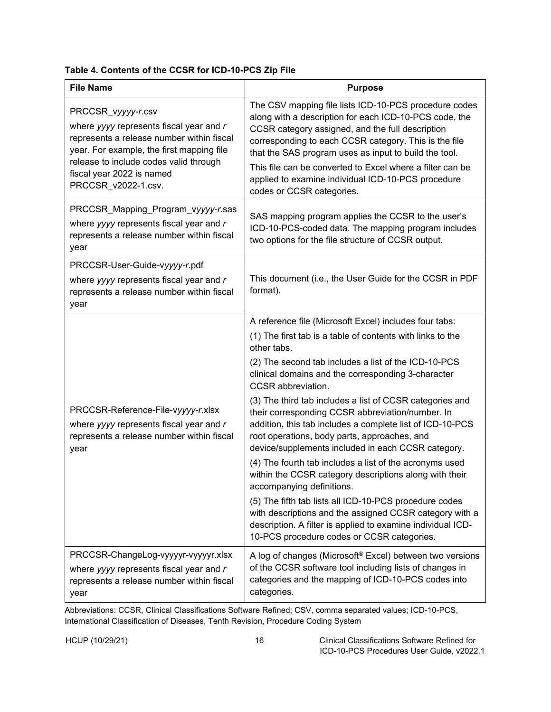<span id="page-19-0"></span>

|  |  |  |  | Table 4. Contents of the CCSR for ICD-10-PCS Zip File |  |
|--|--|--|--|-------------------------------------------------------|--|
|--|--|--|--|-------------------------------------------------------|--|

| <b>File Name</b>                                                                                                                                                                                                                                      | <b>Purpose</b>                                                                                                                                                                                                                                                                                                                                                                                                                                                                                                                                                                                                                                                                                                                                                                                                                                                                                                                                 |
|-------------------------------------------------------------------------------------------------------------------------------------------------------------------------------------------------------------------------------------------------------|------------------------------------------------------------------------------------------------------------------------------------------------------------------------------------------------------------------------------------------------------------------------------------------------------------------------------------------------------------------------------------------------------------------------------------------------------------------------------------------------------------------------------------------------------------------------------------------------------------------------------------------------------------------------------------------------------------------------------------------------------------------------------------------------------------------------------------------------------------------------------------------------------------------------------------------------|
| PRCCSR_vyyyy-r.csv<br>where yyyy represents fiscal year and r<br>represents a release number within fiscal<br>year. For example, the first mapping file<br>release to include codes valid through<br>fiscal year 2022 is named<br>PRCCSR_v2022-1.csv. | The CSV mapping file lists ICD-10-PCS procedure codes<br>along with a description for each ICD-10-PCS code, the<br>CCSR category assigned, and the full description<br>corresponding to each CCSR category. This is the file<br>that the SAS program uses as input to build the tool.<br>This file can be converted to Excel where a filter can be<br>applied to examine individual ICD-10-PCS procedure<br>codes or CCSR categories.                                                                                                                                                                                                                                                                                                                                                                                                                                                                                                          |
| PRCCSR_Mapping_Program_vyyyy-r.sas<br>where yyyy represents fiscal year and r<br>represents a release number within fiscal<br>year                                                                                                                    | SAS mapping program applies the CCSR to the user's<br>ICD-10-PCS-coded data. The mapping program includes<br>two options for the file structure of CCSR output.                                                                                                                                                                                                                                                                                                                                                                                                                                                                                                                                                                                                                                                                                                                                                                                |
| PRCCSR-User-Guide-vyyyy-r.pdf<br>where yyyy represents fiscal year and r<br>represents a release number within fiscal<br>year                                                                                                                         | This document (i.e., the User Guide for the CCSR in PDF<br>format).                                                                                                                                                                                                                                                                                                                                                                                                                                                                                                                                                                                                                                                                                                                                                                                                                                                                            |
| PRCCSR-Reference-File-vyyyy-r.xlsx<br>where yyyy represents fiscal year and r<br>represents a release number within fiscal<br>year                                                                                                                    | A reference file (Microsoft Excel) includes four tabs:<br>(1) The first tab is a table of contents with links to the<br>other tabs.<br>(2) The second tab includes a list of the ICD-10-PCS<br>clinical domains and the corresponding 3-character<br>CCSR abbreviation.<br>(3) The third tab includes a list of CCSR categories and<br>their corresponding CCSR abbreviation/number. In<br>addition, this tab includes a complete list of ICD-10-PCS<br>root operations, body parts, approaches, and<br>device/supplements included in each CCSR category.<br>(4) The fourth tab includes a list of the acronyms used<br>within the CCSR category descriptions along with their<br>accompanying definitions.<br>(5) The fifth tab lists all ICD-10-PCS procedure codes<br>with descriptions and the assigned CCSR category with a<br>description. A filter is applied to examine individual ICD-<br>10-PCS procedure codes or CCSR categories. |
| PRCCSR-ChangeLog-vyyyyr-vyyyyr.xlsx<br>where yyyy represents fiscal year and r<br>represents a release number within fiscal<br>year                                                                                                                   | A log of changes (Microsoft® Excel) between two versions<br>of the CCSR software tool including lists of changes in<br>categories and the mapping of ICD-10-PCS codes into<br>categories.                                                                                                                                                                                                                                                                                                                                                                                                                                                                                                                                                                                                                                                                                                                                                      |

Abbreviations: CCSR, Clinical Classifications Software Refined; CSV, comma separated values; ICD-10-PCS, International Classification of Diseases, Tenth Revision, Procedure Coding System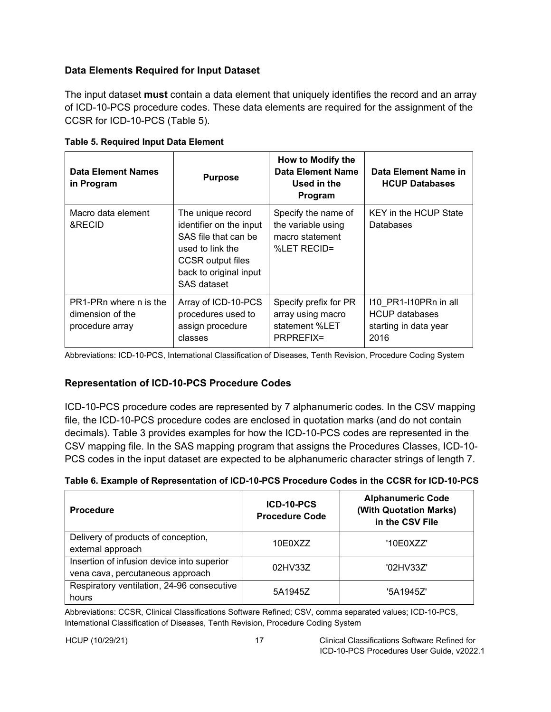### <span id="page-20-0"></span>**Data Elements Required for Input Dataset**

The input dataset **must** contain a data element that uniquely identifies the record and an array of ICD-10-PCS procedure codes. These data elements are required for the assignment of the CCSR for ICD-10-PCS (Table 5).

| <b>Data Element Names</b><br>in Program                       | How to Modify the<br>Data Element Name<br><b>Purpose</b><br>Used in the<br>Program                                                                            |                                                                                  |                                                                                 |  |
|---------------------------------------------------------------|---------------------------------------------------------------------------------------------------------------------------------------------------------------|----------------------------------------------------------------------------------|---------------------------------------------------------------------------------|--|
| Macro data element<br>&RECID                                  | The unique record<br>identifier on the input<br>SAS file that can be<br>used to link the<br><b>CCSR</b> output files<br>back to original input<br>SAS dataset | Specify the name of<br>the variable using<br>macro statement<br>%LET RECID=      | <b>KEY in the HCUP State</b><br>Databases                                       |  |
| PR1-PRn where n is the<br>dimension of the<br>procedure array | Array of ICD-10-PCS<br>procedures used to<br>assign procedure<br>classes                                                                                      | Specify prefix for PR<br>array using macro<br>statement %LET<br><b>PRPREFIX=</b> | 110 PR1-110PRn in all<br><b>HCUP</b> databases<br>starting in data year<br>2016 |  |

<span id="page-20-2"></span>**Table 5. Required Input Data Element**

Abbreviations: ICD-10-PCS, International Classification of Diseases, Tenth Revision, Procedure Coding System

### <span id="page-20-1"></span>**Representation of ICD-10-PCS Procedure Codes**

ICD-10-PCS procedure codes are represented by 7 alphanumeric codes. In the CSV mapping file, the ICD-10-PCS procedure codes are enclosed in quotation marks (and do not contain decimals). Table 3 provides examples for how the ICD-10-PCS codes are represented in the CSV mapping file. In the SAS mapping program that assigns the Procedures Classes, ICD-10- PCS codes in the input dataset are expected to be alphanumeric character strings of length 7.

<span id="page-20-3"></span>

|  | Table 6. Example of Representation of ICD-10-PCS Procedure Codes in the CCSR for ICD-10-PCS |  |  |  |
|--|---------------------------------------------------------------------------------------------|--|--|--|
|  |                                                                                             |  |  |  |

| <b>Procedure</b>                                                               | ICD-10-PCS<br><b>Procedure Code</b> | <b>Alphanumeric Code</b><br>(With Quotation Marks)<br>in the CSV File |
|--------------------------------------------------------------------------------|-------------------------------------|-----------------------------------------------------------------------|
| Delivery of products of conception,<br>external approach                       | 10E0XZZ                             | '10E0XZZ'                                                             |
| Insertion of infusion device into superior<br>vena cava, percutaneous approach | 02HV33Z                             | '02HV33Z'                                                             |
| Respiratory ventilation, 24-96 consecutive<br>hours                            | 5A1945Z                             | '5A1945Z'                                                             |

Abbreviations: CCSR, Clinical Classifications Software Refined; CSV, comma separated values; ICD-10-PCS, International Classification of Diseases, Tenth Revision, Procedure Coding System

HCUP (10/29/21) 17 Clinical Classifications Software Refined for ICD-10-PCS Procedures User Guide, v2022.1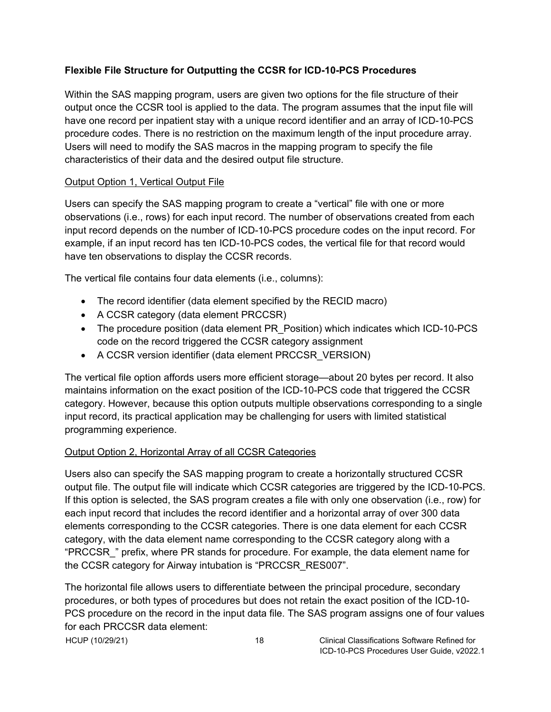### <span id="page-21-0"></span>**Flexible File Structure for Outputting the CCSR for ICD-10-PCS Procedures**

Within the SAS mapping program, users are given two options for the file structure of their output once the CCSR tool is applied to the data. The program assumes that the input file will have one record per inpatient stay with a unique record identifier and an array of ICD-10-PCS procedure codes. There is no restriction on the maximum length of the input procedure array. Users will need to modify the SAS macros in the mapping program to specify the file characteristics of their data and the desired output file structure.

### <span id="page-21-1"></span>Output Option 1, Vertical Output File

Users can specify the SAS mapping program to create a "vertical" file with one or more observations (i.e., rows) for each input record. The number of observations created from each input record depends on the number of ICD-10-PCS procedure codes on the input record. For example, if an input record has ten ICD-10-PCS codes, the vertical file for that record would have ten observations to display the CCSR records.

The vertical file contains four data elements (i.e., columns):

- The record identifier (data element specified by the RECID macro)
- A CCSR category (data element PRCCSR)
- The procedure position (data element PR Position) which indicates which ICD-10-PCS code on the record triggered the CCSR category assignment
- A CCSR version identifier (data element PRCCSR\_VERSION)

The vertical file option affords users more efficient storage—about 20 bytes per record. It also maintains information on the exact position of the ICD-10-PCS code that triggered the CCSR category. However, because this option outputs multiple observations corresponding to a single input record, its practical application may be challenging for users with limited statistical programming experience.

# <span id="page-21-2"></span>Output Option 2, Horizontal Array of all CCSR Categories

Users also can specify the SAS mapping program to create a horizontally structured CCSR output file. The output file will indicate which CCSR categories are triggered by the ICD-10-PCS. If this option is selected, the SAS program creates a file with only one observation (i.e., row) for each input record that includes the record identifier and a horizontal array of over 300 data elements corresponding to the CCSR categories. There is one data element for each CCSR category, with the data element name corresponding to the CCSR category along with a "PRCCSR\_" prefix, where PR stands for procedure. For example, the data element name for the CCSR category for Airway intubation is "PRCCSR\_RES007".

The horizontal file allows users to differentiate between the principal procedure, secondary procedures, or both types of procedures but does not retain the exact position of the ICD-10- PCS procedure on the record in the input data file. The SAS program assigns one of four values for each PRCCSR data element:

HCUP (10/29/21) 18 Clinical Classifications Software Refined for ICD-10-PCS Procedures User Guide, v2022.1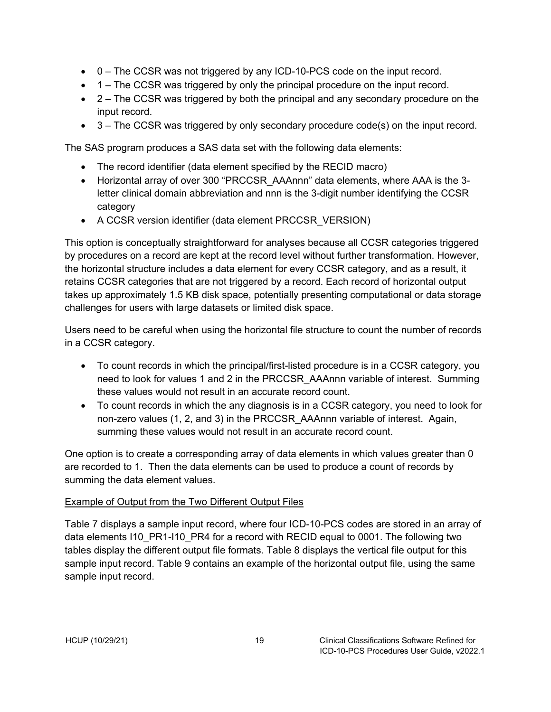- 0 The CCSR was not triggered by any ICD-10-PCS code on the input record.
- 1 The CCSR was triggered by only the principal procedure on the input record.
- 2 The CCSR was triggered by both the principal and any secondary procedure on the input record.
- 3 The CCSR was triggered by only secondary procedure code(s) on the input record.

The SAS program produces a SAS data set with the following data elements:

- The record identifier (data element specified by the RECID macro)
- Horizontal array of over 300 "PRCCSR\_AAAnnn" data elements, where AAA is the 3 letter clinical domain abbreviation and nnn is the 3-digit number identifying the CCSR category
- A CCSR version identifier (data element PRCCSR\_VERSION)

This option is conceptually straightforward for analyses because all CCSR categories triggered by procedures on a record are kept at the record level without further transformation. However, the horizontal structure includes a data element for every CCSR category, and as a result, it retains CCSR categories that are not triggered by a record. Each record of horizontal output takes up approximately 1.5 KB disk space, potentially presenting computational or data storage challenges for users with large datasets or limited disk space.

Users need to be careful when using the horizontal file structure to count the number of records in a CCSR category.

- To count records in which the principal/first-listed procedure is in a CCSR category, you need to look for values 1 and 2 in the PRCCSR\_AAAnnn variable of interest. Summing these values would not result in an accurate record count.
- To count records in which the any diagnosis is in a CCSR category, you need to look for non-zero values (1, 2, and 3) in the PRCCSR\_AAAnnn variable of interest. Again, summing these values would not result in an accurate record count.

One option is to create a corresponding array of data elements in which values greater than 0 are recorded to 1. Then the data elements can be used to produce a count of records by summing the data element values.

# <span id="page-22-0"></span>Example of Output from the Two Different Output Files

Table 7 displays a sample input record, where four ICD-10-PCS codes are stored in an array of data elements I10\_PR1-I10\_PR4 for a record with RECID equal to 0001. The following two tables display the different output file formats. Table 8 displays the vertical file output for this sample input record. Table 9 contains an example of the horizontal output file, using the same sample input record.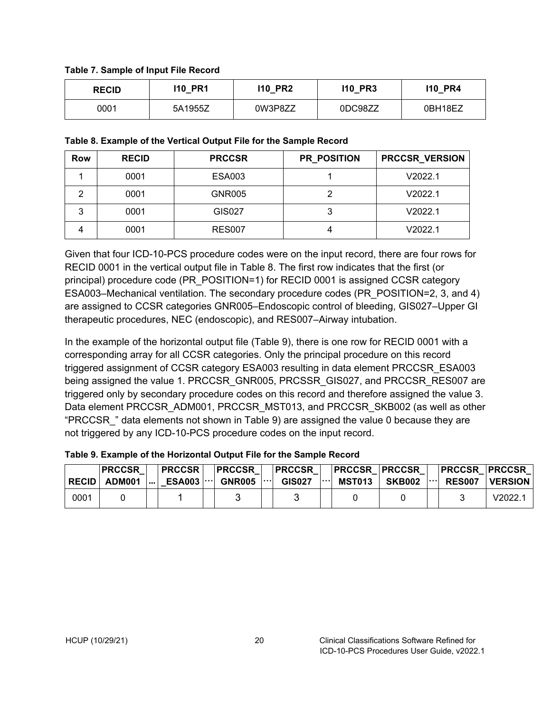#### <span id="page-23-0"></span>**Table 7. Sample of Input File Record**

| <b>RECID</b> | <b>110 PR1</b> | 110 PR2 | <b>110 PR3</b> | <b>110 PR4</b> |
|--------------|----------------|---------|----------------|----------------|
| 0001         | 5A1955Z        | 0W3P8ZZ | 0DC98ZZ        | 0BH18EZ        |

#### <span id="page-23-1"></span>**Table 8. Example of the Vertical Output File for the Sample Record**

| Row | <b>RECID</b> | <b>PRCCSR</b> | <b>PR_POSITION</b> | <b>PRCCSR_VERSION</b> |
|-----|--------------|---------------|--------------------|-----------------------|
|     | 0001         | <b>ESA003</b> |                    | V2022.1               |
|     | 0001         | <b>GNR005</b> |                    | V2022.1               |
| 3   | 0001         | GIS027        |                    | V2022.1               |
|     | 0001         | <b>RES007</b> |                    | V2022.1               |

Given that four ICD-10-PCS procedure codes were on the input record, there are four rows for RECID 0001 in the vertical output file in Table 8. The first row indicates that the first (or principal) procedure code (PR\_POSITION=1) for RECID 0001 is assigned CCSR category ESA003–Mechanical ventilation. The secondary procedure codes (PR\_POSITION=2, 3, and 4) are assigned to CCSR categories GNR005–Endoscopic control of bleeding, GIS027–Upper GI therapeutic procedures, NEC (endoscopic), and RES007–Airway intubation.

In the example of the horizontal output file (Table 9), there is one row for RECID 0001 with a corresponding array for all CCSR categories. Only the principal procedure on this record triggered assignment of CCSR category ESA003 resulting in data element PRCCSR\_ESA003 being assigned the value 1. PRCCSR\_GNR005, PRCSSR\_GIS027, and PRCCSR\_RES007 are triggered only by secondary procedure codes on this record and therefore assigned the value 3. Data element PRCCSR\_ADM001, PRCCSR\_MST013, and PRCCSR\_SKB002 (as well as other "PRCCSR\_" data elements not shown in Table 9) are assigned the value 0 because they are not triggered by any ICD-10-PCS procedure codes on the input record.

<span id="page-23-2"></span>

| Table 9. Example of the Horizontal Output File for the Sample Record |  |  |
|----------------------------------------------------------------------|--|--|
|----------------------------------------------------------------------|--|--|

|              | <b>IPRCCSR</b> |          | <b>PRCCSR</b>       | PRCCSR            | <b>PRCCSR</b> |          |               | <b>PRCCSR PRCCSR  </b> |              | <b>PRCCSR PRCCSR</b> |                |
|--------------|----------------|----------|---------------------|-------------------|---------------|----------|---------------|------------------------|--------------|----------------------|----------------|
| <b>RECID</b> | ADM001         | $\cdots$ | $ESAO03$ $ \cdots $ | GNR005 $ \cdots $ | <b>GIS027</b> | $\cdots$ | <b>MST013</b> | <b>SKB002</b>          | $  \cdots  $ | <b>RES007</b>        | <b>VERSION</b> |
| 0001         |                |          |                     |                   |               |          |               |                        |              |                      | V2022.         |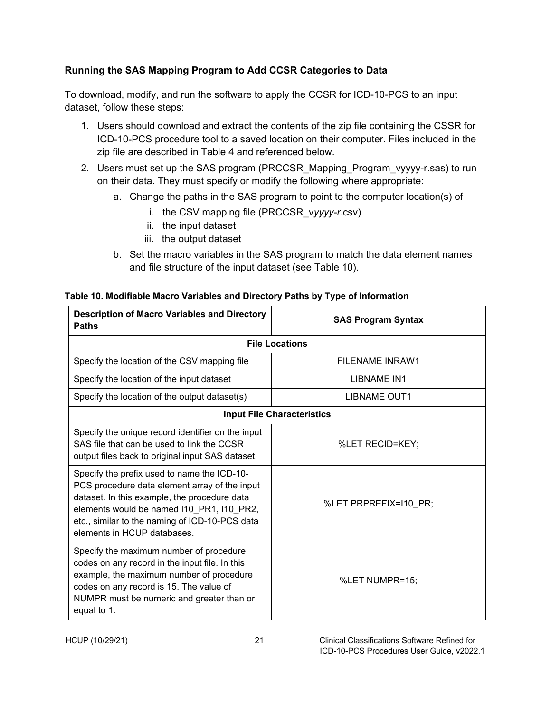# <span id="page-24-0"></span>**Running the SAS Mapping Program to Add CCSR Categories to Data**

To download, modify, and run the software to apply the CCSR for ICD-10-PCS to an input dataset, follow these steps:

- 1. Users should download and extract the contents of the zip file containing the CSSR for ICD-10-PCS procedure tool to a saved location on their computer. Files included in the zip file are described in Table 4 and referenced below.
- 2. Users must set up the SAS program (PRCCSR\_Mapping\_Program\_vyyyy-r.sas) to run on their data. They must specify or modify the following where appropriate:
	- a. Change the paths in the SAS program to point to the computer location(s) of
		- i. the CSV mapping file (PRCCSR\_v*yyyy-r*.csv)
		- ii. the input dataset
		- iii. the output dataset
	- b. Set the macro variables in the SAS program to match the data element names and file structure of the input dataset (see Table 10).

| <b>Description of Macro Variables and Directory</b><br><b>Paths</b>                                                                                                                                                                                                        | <b>SAS Program Syntax</b>         |  |  |  |  |  |  |
|----------------------------------------------------------------------------------------------------------------------------------------------------------------------------------------------------------------------------------------------------------------------------|-----------------------------------|--|--|--|--|--|--|
| <b>File Locations</b>                                                                                                                                                                                                                                                      |                                   |  |  |  |  |  |  |
| Specify the location of the CSV mapping file                                                                                                                                                                                                                               | FILENAME INRAW1                   |  |  |  |  |  |  |
| Specify the location of the input dataset                                                                                                                                                                                                                                  | LIBNAME IN1                       |  |  |  |  |  |  |
| Specify the location of the output dataset(s)                                                                                                                                                                                                                              | <b>LIBNAME OUT1</b>               |  |  |  |  |  |  |
|                                                                                                                                                                                                                                                                            | <b>Input File Characteristics</b> |  |  |  |  |  |  |
| Specify the unique record identifier on the input<br>SAS file that can be used to link the CCSR<br>output files back to original input SAS dataset.                                                                                                                        | %LET RECID=KEY;                   |  |  |  |  |  |  |
| Specify the prefix used to name the ICD-10-<br>PCS procedure data element array of the input<br>dataset. In this example, the procedure data<br>elements would be named I10_PR1, I10_PR2,<br>etc., similar to the naming of ICD-10-PCS data<br>elements in HCUP databases. | %LET PRPREFIX=I10_PR;             |  |  |  |  |  |  |
| Specify the maximum number of procedure<br>codes on any record in the input file. In this<br>example, the maximum number of procedure<br>codes on any record is 15. The value of<br>NUMPR must be numeric and greater than or<br>equal to 1.                               | %LET NUMPR=15;                    |  |  |  |  |  |  |

#### <span id="page-24-1"></span>**Table 10. Modifiable Macro Variables and Directory Paths by Type of Information**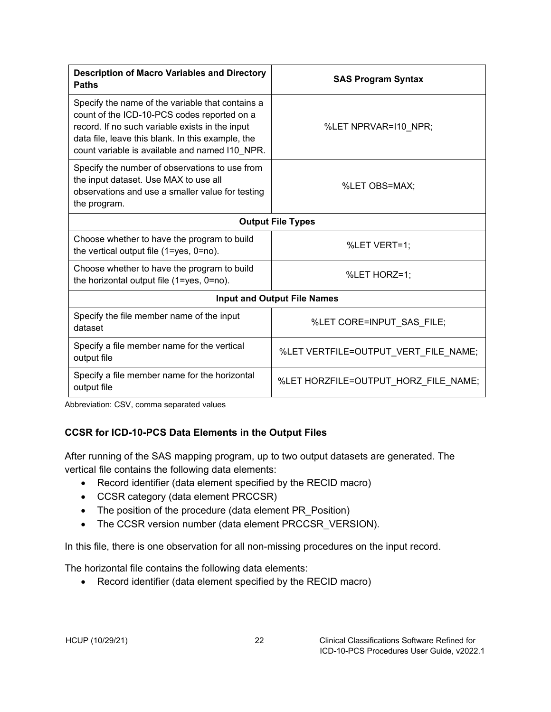| <b>Description of Macro Variables and Directory</b><br><b>Paths</b>                                                                                                                                                                                       | <b>SAS Program Syntax</b>            |
|-----------------------------------------------------------------------------------------------------------------------------------------------------------------------------------------------------------------------------------------------------------|--------------------------------------|
| Specify the name of the variable that contains a<br>count of the ICD-10-PCS codes reported on a<br>record. If no such variable exists in the input<br>data file, leave this blank. In this example, the<br>count variable is available and named I10_NPR. | %LET NPRVAR=110 NPR;                 |
| Specify the number of observations to use from<br>the input dataset. Use MAX to use all<br>observations and use a smaller value for testing<br>the program.                                                                                               | %LET OBS=MAX;                        |
|                                                                                                                                                                                                                                                           | <b>Output File Types</b>             |
| Choose whether to have the program to build<br>the vertical output file $(1 = yes, 0 = no)$ .                                                                                                                                                             | %LET VERT=1;                         |
| Choose whether to have the program to build<br>the horizontal output file (1=yes, 0=no).                                                                                                                                                                  | %LET HORZ=1;                         |
|                                                                                                                                                                                                                                                           | <b>Input and Output File Names</b>   |
| Specify the file member name of the input<br>dataset                                                                                                                                                                                                      | %LET CORE=INPUT_SAS_FILE;            |
| Specify a file member name for the vertical<br>output file                                                                                                                                                                                                | %LET VERTFILE=OUTPUT_VERT_FILE_NAME; |
| Specify a file member name for the horizontal<br>output file                                                                                                                                                                                              | %LET HORZFILE=OUTPUT HORZ FILE NAME; |

Abbreviation: CSV, comma separated values

# <span id="page-25-0"></span>**CCSR for ICD-10-PCS Data Elements in the Output Files**

After running of the SAS mapping program, up to two output datasets are generated. The vertical file contains the following data elements:

- Record identifier (data element specified by the RECID macro)
- CCSR category (data element PRCCSR)
- The position of the procedure (data element PR\_Position)
- The CCSR version number (data element PRCCSR\_VERSION).

In this file, there is one observation for all non-missing procedures on the input record.

The horizontal file contains the following data elements:

• Record identifier (data element specified by the RECID macro)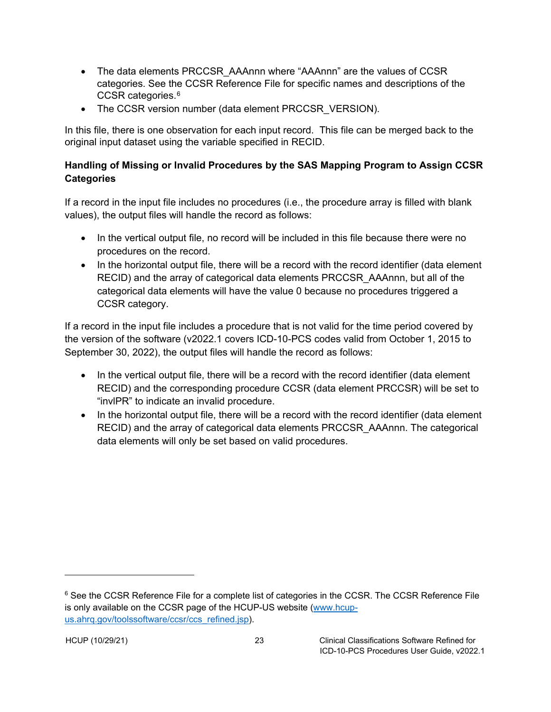- The data elements PRCCSR\_AAAnnn where "AAAnnn" are the values of CCSR categories. See the CCSR Reference File for specific names and descriptions of the CCSR categories.[6](#page-26-2)
- The CCSR version number (data element PRCCSR\_VERSION).

In this file, there is one observation for each input record. This file can be merged back to the original input dataset using the variable specified in RECID.

# <span id="page-26-0"></span>**Handling of Missing or Invalid Procedures by the SAS Mapping Program to Assign CCSR Categories**

If a record in the input file includes no procedures (i.e., the procedure array is filled with blank values), the output files will handle the record as follows:

- In the vertical output file, no record will be included in this file because there were no procedures on the record.
- In the horizontal output file, there will be a record with the record identifier (data element RECID) and the array of categorical data elements PRCCSR\_AAAnnn, but all of the categorical data elements will have the value 0 because no procedures triggered a CCSR category.

If a record in the input file includes a procedure that is not valid for the time period covered by the version of the software (v2022.1 covers ICD-10-PCS codes valid from October 1, 2015 to September 30, 2022), the output files will handle the record as follows:

- In the vertical output file, there will be a record with the record identifier (data element RECID) and the corresponding procedure CCSR (data element PRCCSR) will be set to "invlPR" to indicate an invalid procedure.
- <span id="page-26-1"></span>• In the horizontal output file, there will be a record with the record identifier (data element RECID) and the array of categorical data elements PRCCSR\_AAAnnn. The categorical data elements will only be set based on valid procedures.

<span id="page-26-2"></span><sup>&</sup>lt;sup>6</sup> See the CCSR Reference File for a complete list of categories in the CCSR. The CCSR Reference File is only available on the CCSR page of the HCUP-US website [\(www.hcup](https://www.hcup-us.ahrq.gov/toolssoftware/ccsr/ccs_refined.jsp)[us.ahrq.gov/toolssoftware/ccsr/ccs\\_refined.jsp\)](https://www.hcup-us.ahrq.gov/toolssoftware/ccsr/ccs_refined.jsp).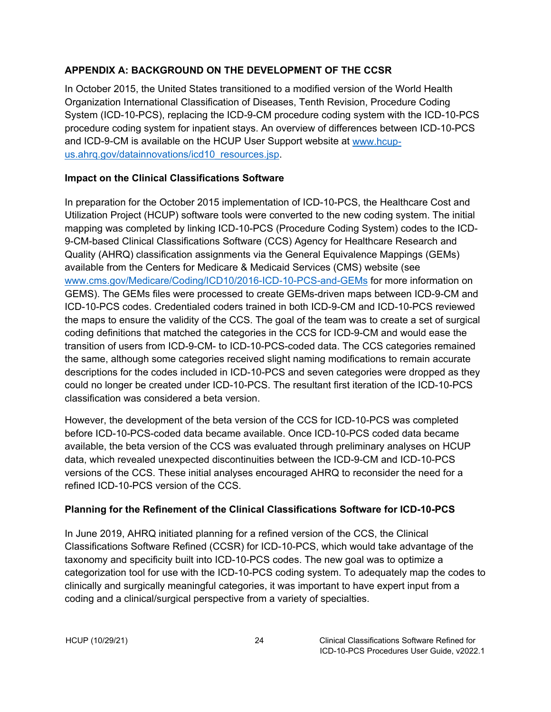### <span id="page-27-0"></span>**APPENDIX A: BACKGROUND ON THE DEVELOPMENT OF THE CCSR**

In October 2015, the United States transitioned to a modified version of the World Health Organization International Classification of Diseases, Tenth Revision, Procedure Coding System (ICD-10-PCS), replacing the ICD-9-CM procedure coding system with the ICD-10-PCS procedure coding system for inpatient stays. An overview of differences between ICD-10-PCS and ICD-9-CM is available on the HCUP User Support website at [www.hcup](https://hcup-us.ahrq.gov/datainnovations/icd10_resources.jsp)us.ahrg.gov/datainnovations/icd10\_resources.jsp.

### <span id="page-27-1"></span>**Impact on the Clinical Classifications Software**

In preparation for the October 2015 implementation of ICD-10-PCS, the Healthcare Cost and Utilization Project (HCUP) software tools were converted to the new coding system. The initial mapping was completed by linking ICD-10-PCS (Procedure Coding System) codes to the ICD-9-CM-based Clinical Classifications Software (CCS) Agency for Healthcare Research and Quality (AHRQ) classification assignments via the General Equivalence Mappings (GEMs) available from the Centers for Medicare & Medicaid Services (CMS) website (see [www.cms.gov/Medicare/Coding/ICD10/2016-ICD-10-PCS-and-GEMs](http://www.cms.gov/Medicare/Coding/ICD10/2016-ICD-10-PCS-and-GEMs) for more information on GEMS). The GEMs files were processed to create GEMs-driven maps between ICD-9-CM and ICD-10-PCS codes. Credentialed coders trained in both ICD-9-CM and ICD-10-PCS reviewed the maps to ensure the validity of the CCS. The goal of the team was to create a set of surgical coding definitions that matched the categories in the CCS for ICD-9-CM and would ease the transition of users from ICD-9-CM- to ICD-10-PCS-coded data. The CCS categories remained the same, although some categories received slight naming modifications to remain accurate descriptions for the codes included in ICD-10-PCS and seven categories were dropped as they could no longer be created under ICD-10-PCS. The resultant first iteration of the ICD-10-PCS classification was considered a beta version.

However, the development of the beta version of the CCS for ICD-10-PCS was completed before ICD-10-PCS-coded data became available. Once ICD-10-PCS coded data became available, the beta version of the CCS was evaluated through preliminary analyses on HCUP data, which revealed unexpected discontinuities between the ICD-9-CM and ICD-10-PCS versions of the CCS. These initial analyses encouraged AHRQ to reconsider the need for a refined ICD-10-PCS version of the CCS.

# <span id="page-27-2"></span>**Planning for the Refinement of the Clinical Classifications Software for ICD-10-PCS**

In June 2019, AHRQ initiated planning for a refined version of the CCS, the Clinical Classifications Software Refined (CCSR) for ICD-10-PCS, which would take advantage of the taxonomy and specificity built into ICD-10-PCS codes. The new goal was to optimize a categorization tool for use with the ICD-10-PCS coding system. To adequately map the codes to clinically and surgically meaningful categories, it was important to have expert input from a coding and a clinical/surgical perspective from a variety of specialties.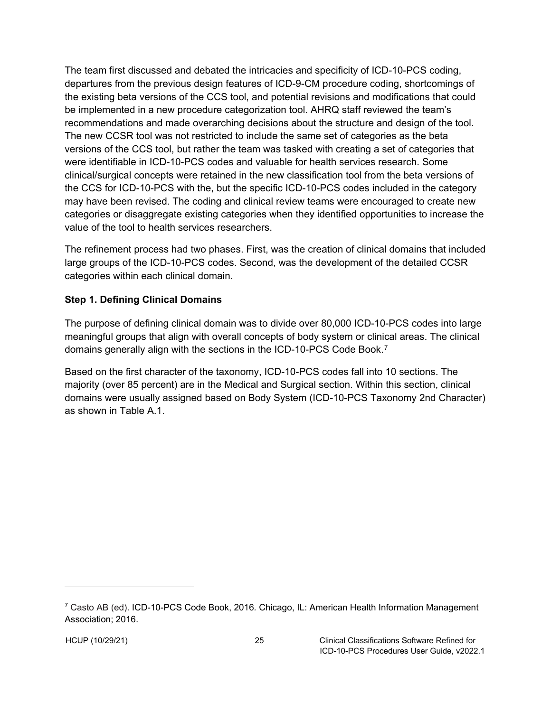The team first discussed and debated the intricacies and specificity of ICD-10-PCS coding, departures from the previous design features of ICD-9-CM procedure coding, shortcomings of the existing beta versions of the CCS tool, and potential revisions and modifications that could be implemented in a new procedure categorization tool. AHRQ staff reviewed the team's recommendations and made overarching decisions about the structure and design of the tool. The new CCSR tool was not restricted to include the same set of categories as the beta versions of the CCS tool, but rather the team was tasked with creating a set of categories that were identifiable in ICD-10-PCS codes and valuable for health services research. Some clinical/surgical concepts were retained in the new classification tool from the beta versions of the CCS for ICD-10-PCS with the, but the specific ICD-10-PCS codes included in the category may have been revised. The coding and clinical review teams were encouraged to create new categories or disaggregate existing categories when they identified opportunities to increase the value of the tool to health services researchers.

The refinement process had two phases. First, was the creation of clinical domains that included large groups of the ICD-10-PCS codes. Second, was the development of the detailed CCSR categories within each clinical domain.

### <span id="page-28-0"></span>**Step 1. Defining Clinical Domains**

The purpose of defining clinical domain was to divide over 80,000 ICD-10-PCS codes into large meaningful groups that align with overall concepts of body system or clinical areas. The clinical domains generally align with the sections in the ICD-10-PCS Code Book.[7](#page-28-1)

Based on the first character of the taxonomy, ICD-10-PCS codes fall into 10 sections. The majority (over 85 percent) are in the Medical and Surgical section. Within this section, clinical domains were usually assigned based on Body System (ICD-10-PCS Taxonomy 2nd Character) as shown in Table A.1.

<span id="page-28-1"></span><sup>7</sup> Casto AB (ed). ICD-10-PCS Code Book, 2016*.* Chicago, IL: American Health Information Management Association; 2016.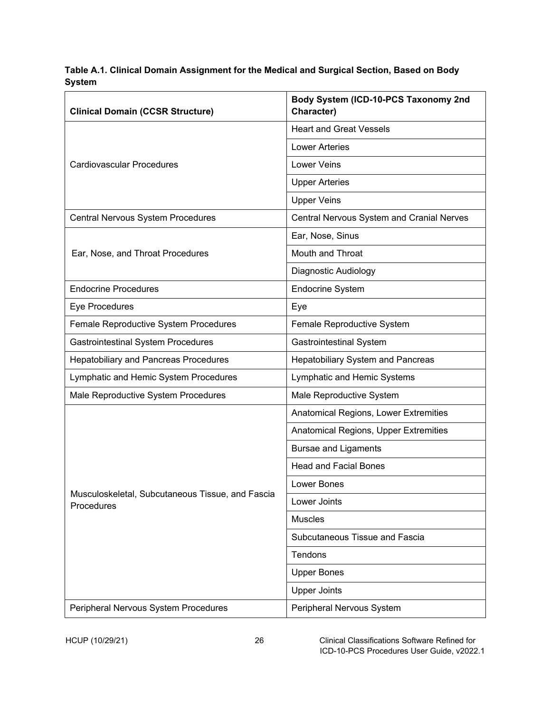<span id="page-29-0"></span>**Table A.1. Clinical Domain Assignment for the Medical and Surgical Section, Based on Body System**

| <b>Clinical Domain (CCSR Structure)</b>                        | Body System (ICD-10-PCS Taxonomy 2nd<br>Character)      |  |  |  |
|----------------------------------------------------------------|---------------------------------------------------------|--|--|--|
|                                                                | <b>Heart and Great Vessels</b>                          |  |  |  |
|                                                                | <b>Lower Arteries</b>                                   |  |  |  |
| <b>Cardiovascular Procedures</b>                               | <b>Lower Veins</b>                                      |  |  |  |
|                                                                | <b>Upper Arteries</b>                                   |  |  |  |
|                                                                | <b>Upper Veins</b>                                      |  |  |  |
| Central Nervous System Procedures                              | Central Nervous System and Cranial Nerves               |  |  |  |
|                                                                | Ear, Nose, Sinus                                        |  |  |  |
| Ear, Nose, and Throat Procedures                               | Mouth and Throat                                        |  |  |  |
|                                                                | Diagnostic Audiology                                    |  |  |  |
| <b>Endocrine Procedures</b>                                    | <b>Endocrine System</b>                                 |  |  |  |
| Eye Procedures                                                 | Eye                                                     |  |  |  |
| Female Reproductive System Procedures                          | Female Reproductive System                              |  |  |  |
| <b>Gastrointestinal System Procedures</b>                      | <b>Gastrointestinal System</b>                          |  |  |  |
| <b>Hepatobiliary and Pancreas Procedures</b>                   | <b>Hepatobiliary System and Pancreas</b>                |  |  |  |
| Lymphatic and Hemic System Procedures                          | Lymphatic and Hemic Systems<br>Male Reproductive System |  |  |  |
| Male Reproductive System Procedures                            |                                                         |  |  |  |
|                                                                | Anatomical Regions, Lower Extremities                   |  |  |  |
|                                                                | Anatomical Regions, Upper Extremities                   |  |  |  |
|                                                                | <b>Bursae and Ligaments</b>                             |  |  |  |
|                                                                | <b>Head and Facial Bones</b>                            |  |  |  |
|                                                                | Lower Bones                                             |  |  |  |
| Musculoskeletal, Subcutaneous Tissue, and Fascia<br>Procedures | Lower Joints                                            |  |  |  |
|                                                                | <b>Muscles</b>                                          |  |  |  |
|                                                                | Subcutaneous Tissue and Fascia                          |  |  |  |
|                                                                | Tendons                                                 |  |  |  |
|                                                                | <b>Upper Bones</b>                                      |  |  |  |
|                                                                | <b>Upper Joints</b>                                     |  |  |  |
| Peripheral Nervous System Procedures                           | Peripheral Nervous System                               |  |  |  |

HCUP (10/29/21) 26 Clinical Classifications Software Refined for ICD-10-PCS Procedures User Guide, v2022.1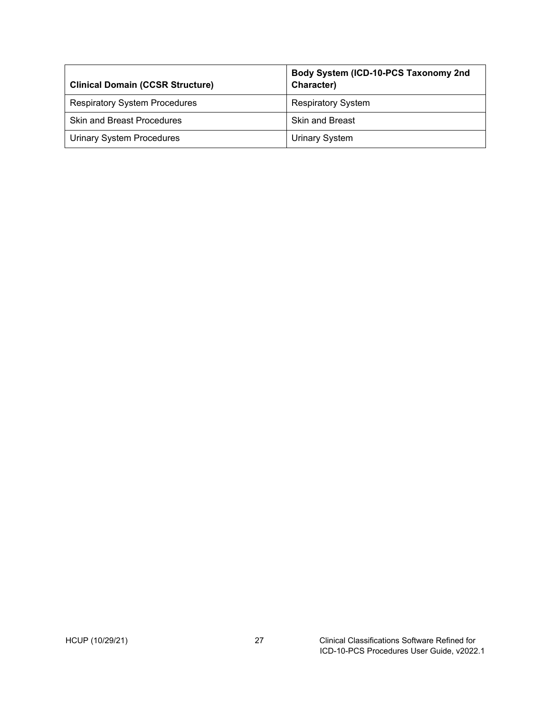| <b>Clinical Domain (CCSR Structure)</b> | Body System (ICD-10-PCS Taxonomy 2nd<br>Character) |
|-----------------------------------------|----------------------------------------------------|
| <b>Respiratory System Procedures</b>    | <b>Respiratory System</b>                          |
| <b>Skin and Breast Procedures</b>       | <b>Skin and Breast</b>                             |
| <b>Urinary System Procedures</b>        | Urinary System                                     |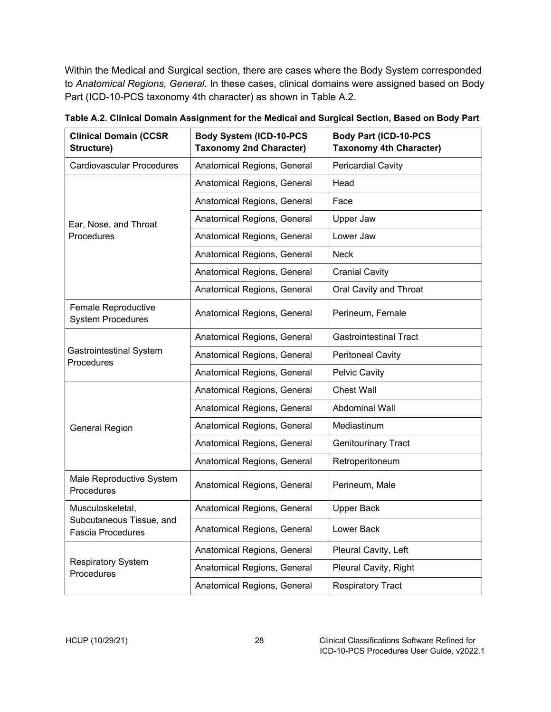Within the Medical and Surgical section, there are cases where the Body System corresponded to *Anatomical Regions, General*. In these cases, clinical domains were assigned based on Body Part (ICD-10-PCS taxonomy 4th character) as shown in Table A.2.

| <b>Clinical Domain (CCSR</b><br>Structure)           | <b>Body System (ICD-10-PCS</b><br><b>Taxonomy 2nd Character)</b> | <b>Body Part (ICD-10-PCS</b><br><b>Taxonomy 4th Character)</b> |
|------------------------------------------------------|------------------------------------------------------------------|----------------------------------------------------------------|
| <b>Cardiovascular Procedures</b>                     | Anatomical Regions, General                                      | <b>Pericardial Cavity</b>                                      |
|                                                      | Anatomical Regions, General                                      | Head                                                           |
|                                                      | Anatomical Regions, General                                      | Face                                                           |
| Ear, Nose, and Throat                                | Anatomical Regions, General                                      | <b>Upper Jaw</b>                                               |
| Procedures                                           | Anatomical Regions, General                                      | Lower Jaw                                                      |
|                                                      | Anatomical Regions, General                                      | <b>Neck</b>                                                    |
|                                                      | Anatomical Regions, General                                      | <b>Cranial Cavity</b>                                          |
|                                                      | Anatomical Regions, General                                      | Oral Cavity and Throat                                         |
| Female Reproductive<br><b>System Procedures</b>      | Anatomical Regions, General                                      | Perineum, Female                                               |
|                                                      | Anatomical Regions, General                                      | <b>Gastrointestinal Tract</b>                                  |
| <b>Gastrointestinal System</b><br>Procedures         | Anatomical Regions, General                                      | <b>Peritoneal Cavity</b>                                       |
|                                                      | Anatomical Regions, General                                      | Pelvic Cavity                                                  |
|                                                      | Anatomical Regions, General                                      | <b>Chest Wall</b>                                              |
|                                                      | Anatomical Regions, General                                      | Abdominal Wall                                                 |
| <b>General Region</b>                                | Anatomical Regions, General                                      | Mediastinum                                                    |
|                                                      | Anatomical Regions, General                                      | <b>Genitourinary Tract</b>                                     |
|                                                      | Anatomical Regions, General                                      | Retroperitoneum                                                |
| Male Reproductive System<br>Procedures               | Anatomical Regions, General                                      | Perineum, Male                                                 |
| Musculoskeletal,                                     | Anatomical Regions, General                                      | <b>Upper Back</b>                                              |
| Subcutaneous Tissue, and<br><b>Fascia Procedures</b> | Anatomical Regions, General                                      | Lower Back                                                     |
|                                                      | Anatomical Regions, General                                      | Pleural Cavity, Left                                           |
| <b>Respiratory System</b><br>Procedures              | Anatomical Regions, General                                      | Pleural Cavity, Right                                          |
|                                                      | Anatomical Regions, General                                      | <b>Respiratory Tract</b>                                       |

<span id="page-31-0"></span>**Table A.2. Clinical Domain Assignment for the Medical and Surgical Section, Based on Body Part**

г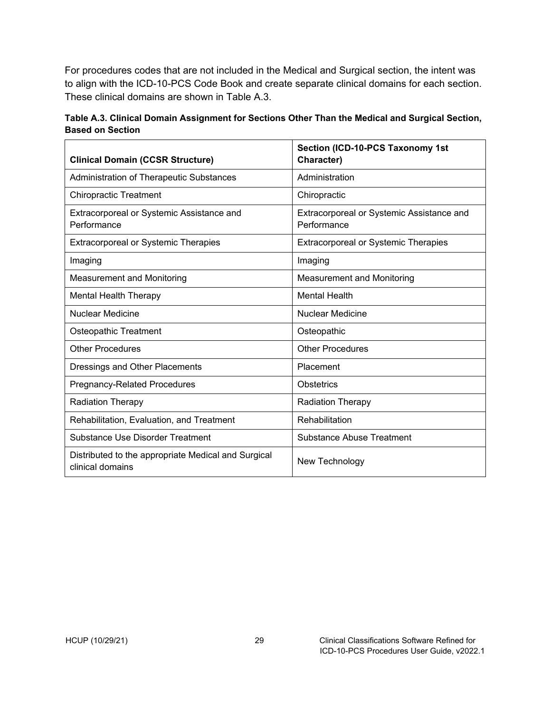For procedures codes that are not included in the Medical and Surgical section, the intent was to align with the ICD-10-PCS Code Book and create separate clinical domains for each section. These clinical domains are shown in Table A.3.

<span id="page-32-0"></span>

| Table A.3. Clinical Domain Assignment for Sections Other Than the Medical and Surgical Section, |  |
|-------------------------------------------------------------------------------------------------|--|
| <b>Based on Section</b>                                                                         |  |

| <b>Clinical Domain (CCSR Structure)</b>                                 | Section (ICD-10-PCS Taxonomy 1st<br>Character)           |
|-------------------------------------------------------------------------|----------------------------------------------------------|
| Administration of Therapeutic Substances                                | Administration                                           |
| <b>Chiropractic Treatment</b>                                           | Chiropractic                                             |
| Extracorporeal or Systemic Assistance and<br>Performance                | Extracorporeal or Systemic Assistance and<br>Performance |
| <b>Extracorporeal or Systemic Therapies</b>                             | <b>Extracorporeal or Systemic Therapies</b>              |
| Imaging                                                                 | Imaging                                                  |
| <b>Measurement and Monitoring</b>                                       | <b>Measurement and Monitoring</b>                        |
| <b>Mental Health Therapy</b>                                            | <b>Mental Health</b>                                     |
| <b>Nuclear Medicine</b>                                                 | <b>Nuclear Medicine</b>                                  |
| Osteopathic Treatment                                                   | Osteopathic                                              |
| <b>Other Procedures</b>                                                 | <b>Other Procedures</b>                                  |
| Dressings and Other Placements                                          | Placement                                                |
| <b>Pregnancy-Related Procedures</b>                                     | <b>Obstetrics</b>                                        |
| <b>Radiation Therapy</b>                                                | <b>Radiation Therapy</b>                                 |
| Rehabilitation, Evaluation, and Treatment                               | Rehabilitation                                           |
| Substance Use Disorder Treatment                                        | Substance Abuse Treatment                                |
| Distributed to the appropriate Medical and Surgical<br>clinical domains | New Technology                                           |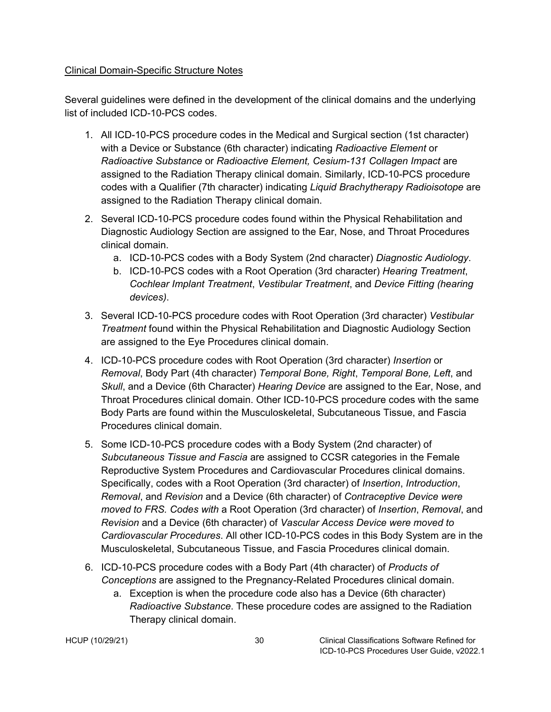#### <span id="page-33-0"></span>Clinical Domain-Specific Structure Notes

Several guidelines were defined in the development of the clinical domains and the underlying list of included ICD-10-PCS codes.

- 1. All ICD-10-PCS procedure codes in the Medical and Surgical section (1st character) with a Device or Substance (6th character) indicating *Radioactive Element* or *Radioactive Substance* or *Radioactive Element, Cesium-131 Collagen Impact* are assigned to the Radiation Therapy clinical domain. Similarly, ICD-10-PCS procedure codes with a Qualifier (7th character) indicating *Liquid Brachytherapy Radioisotope* are assigned to the Radiation Therapy clinical domain.
- 2. Several ICD-10-PCS procedure codes found within the Physical Rehabilitation and Diagnostic Audiology Section are assigned to the Ear, Nose, and Throat Procedures clinical domain.
	- a. ICD-10-PCS codes with a Body System (2nd character) *Diagnostic Audiology*.
	- b. ICD-10-PCS codes with a Root Operation (3rd character) *Hearing Treatment*, *Cochlear Implant Treatment*, *Vestibular Treatment*, and *Device Fitting (hearing devices)*.
- 3. Several ICD-10-PCS procedure codes with Root Operation (3rd character) *Vestibular Treatment* found within the Physical Rehabilitation and Diagnostic Audiology Section are assigned to the Eye Procedures clinical domain.
- 4. ICD-10-PCS procedure codes with Root Operation (3rd character) *Insertion* or *Removal*, Body Part (4th character) *Temporal Bone, Right*, *Temporal Bone, Left*, and *Skull*, and a Device (6th Character) *Hearing Device* are assigned to the Ear, Nose, and Throat Procedures clinical domain. Other ICD-10-PCS procedure codes with the same Body Parts are found within the Musculoskeletal, Subcutaneous Tissue, and Fascia Procedures clinical domain.
- 5. Some ICD-10-PCS procedure codes with a Body System (2nd character) of *Subcutaneous Tissue and Fascia* are assigned to CCSR categories in the Female Reproductive System Procedures and Cardiovascular Procedures clinical domains. Specifically, codes with a Root Operation (3rd character) of *Insertion*, *Introduction*, *Removal*, and *Revision* and a Device (6th character) of *Contraceptive Device were moved to FRS. Codes with* a Root Operation (3rd character) of *Insertion*, *Removal*, and *Revision* and a Device (6th character) of *Vascular Access Device were moved to Cardiovascular Procedures*. All other ICD-10-PCS codes in this Body System are in the Musculoskeletal, Subcutaneous Tissue, and Fascia Procedures clinical domain.
- 6. ICD-10-PCS procedure codes with a Body Part (4th character) of *Products of Conceptions* are assigned to the Pregnancy-Related Procedures clinical domain.
	- a. Exception is when the procedure code also has a Device (6th character) *Radioactive Substance*. These procedure codes are assigned to the Radiation Therapy clinical domain.

HCUP (10/29/21) 30 Clinical Classifications Software Refined for ICD-10-PCS Procedures User Guide, v2022.1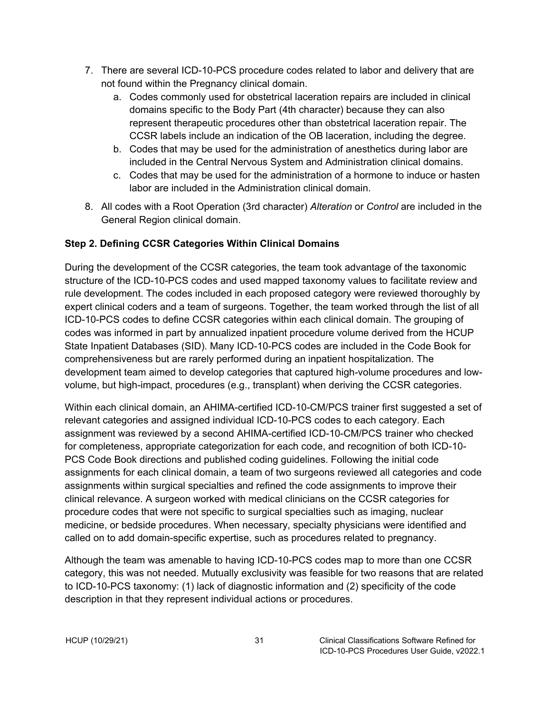- 7. There are several ICD-10-PCS procedure codes related to labor and delivery that are not found within the Pregnancy clinical domain.
	- a. Codes commonly used for obstetrical laceration repairs are included in clinical domains specific to the Body Part (4th character) because they can also represent therapeutic procedures other than obstetrical laceration repair. The CCSR labels include an indication of the OB laceration, including the degree.
	- b. Codes that may be used for the administration of anesthetics during labor are included in the Central Nervous System and Administration clinical domains.
	- c. Codes that may be used for the administration of a hormone to induce or hasten labor are included in the Administration clinical domain.
- 8. All codes with a Root Operation (3rd character) *Alteration* or *Control* are included in the General Region clinical domain.

### <span id="page-34-0"></span>**Step 2. Defining CCSR Categories Within Clinical Domains**

During the development of the CCSR categories, the team took advantage of the taxonomic structure of the ICD-10-PCS codes and used mapped taxonomy values to facilitate review and rule development. The codes included in each proposed category were reviewed thoroughly by expert clinical coders and a team of surgeons. Together, the team worked through the list of all ICD-10-PCS codes to define CCSR categories within each clinical domain. The grouping of codes was informed in part by annualized inpatient procedure volume derived from the HCUP State Inpatient Databases (SID). Many ICD-10-PCS codes are included in the Code Book for comprehensiveness but are rarely performed during an inpatient hospitalization. The development team aimed to develop categories that captured high-volume procedures and lowvolume, but high-impact, procedures (e.g., transplant) when deriving the CCSR categories.

Within each clinical domain, an AHIMA-certified ICD-10-CM/PCS trainer first suggested a set of relevant categories and assigned individual ICD-10-PCS codes to each category. Each assignment was reviewed by a second AHIMA-certified ICD-10-CM/PCS trainer who checked for completeness, appropriate categorization for each code, and recognition of both ICD-10- PCS Code Book directions and published coding guidelines. Following the initial code assignments for each clinical domain, a team of two surgeons reviewed all categories and code assignments within surgical specialties and refined the code assignments to improve their clinical relevance. A surgeon worked with medical clinicians on the CCSR categories for procedure codes that were not specific to surgical specialties such as imaging, nuclear medicine, or bedside procedures. When necessary, specialty physicians were identified and called on to add domain-specific expertise, such as procedures related to pregnancy.

Although the team was amenable to having ICD-10-PCS codes map to more than one CCSR category, this was not needed. Mutually exclusivity was feasible for two reasons that are related to ICD-10-PCS taxonomy: (1) lack of diagnostic information and (2) specificity of the code description in that they represent individual actions or procedures.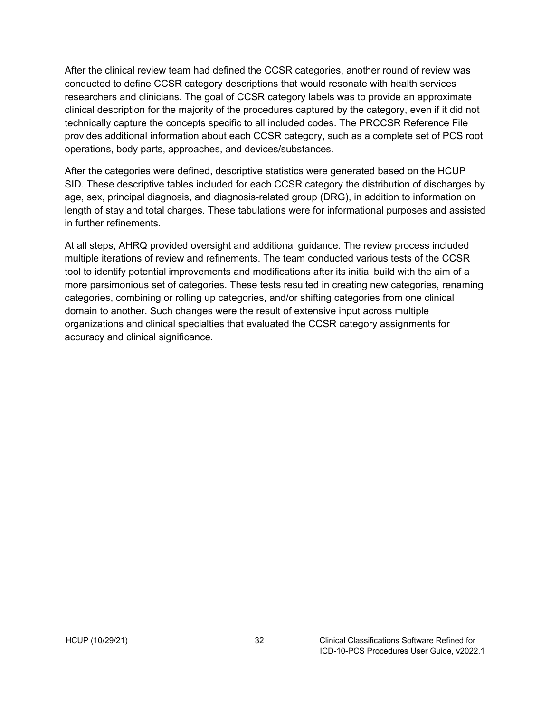After the clinical review team had defined the CCSR categories, another round of review was conducted to define CCSR category descriptions that would resonate with health services researchers and clinicians. The goal of CCSR category labels was to provide an approximate clinical description for the majority of the procedures captured by the category, even if it did not technically capture the concepts specific to all included codes. The PRCCSR Reference File provides additional information about each CCSR category, such as a complete set of PCS root operations, body parts, approaches, and devices/substances.

After the categories were defined, descriptive statistics were generated based on the HCUP SID. These descriptive tables included for each CCSR category the distribution of discharges by age, sex, principal diagnosis, and diagnosis-related group (DRG), in addition to information on length of stay and total charges. These tabulations were for informational purposes and assisted in further refinements.

At all steps, AHRQ provided oversight and additional guidance. The review process included multiple iterations of review and refinements. The team conducted various tests of the CCSR tool to identify potential improvements and modifications after its initial build with the aim of a more parsimonious set of categories. These tests resulted in creating new categories, renaming categories, combining or rolling up categories, and/or shifting categories from one clinical domain to another. Such changes were the result of extensive input across multiple organizations and clinical specialties that evaluated the CCSR category assignments for accuracy and clinical significance.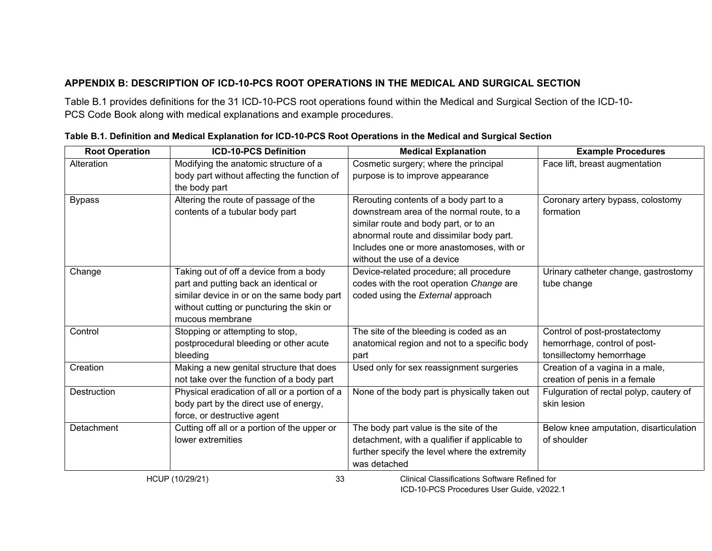# **APPENDIX B: DESCRIPTION OF ICD-10-PCS ROOT OPERATIONS IN THE MEDICAL AND SURGICAL SECTION**

Table B.1 provides definitions for the 31 ICD-10-PCS root operations found within the Medical and Surgical Section of the ICD-10- PCS Code Book along with medical explanations and example procedures.

<span id="page-36-1"></span><span id="page-36-0"></span>

| <b>Root Operation</b> | <b>ICD-10-PCS Definition</b>                  | <b>Medical Explanation</b>                    | <b>Example Procedures</b>               |
|-----------------------|-----------------------------------------------|-----------------------------------------------|-----------------------------------------|
| Alteration            | Modifying the anatomic structure of a         | Cosmetic surgery; where the principal         | Face lift, breast augmentation          |
|                       | body part without affecting the function of   | purpose is to improve appearance              |                                         |
|                       | the body part                                 |                                               |                                         |
| <b>Bypass</b>         | Altering the route of passage of the          | Rerouting contents of a body part to a        | Coronary artery bypass, colostomy       |
|                       | contents of a tubular body part               | downstream area of the normal route, to a     | formation                               |
|                       |                                               | similar route and body part, or to an         |                                         |
|                       |                                               | abnormal route and dissimilar body part.      |                                         |
|                       |                                               | Includes one or more anastomoses, with or     |                                         |
|                       |                                               | without the use of a device                   |                                         |
| Change                | Taking out of off a device from a body        | Device-related procedure; all procedure       | Urinary catheter change, gastrostomy    |
|                       | part and putting back an identical or         | codes with the root operation Change are      | tube change                             |
|                       | similar device in or on the same body part    | coded using the External approach             |                                         |
|                       | without cutting or puncturing the skin or     |                                               |                                         |
|                       | mucous membrane                               |                                               |                                         |
| Control               | Stopping or attempting to stop,               | The site of the bleeding is coded as an       | Control of post-prostatectomy           |
|                       | postprocedural bleeding or other acute        | anatomical region and not to a specific body  | hemorrhage, control of post-            |
|                       | bleeding                                      | part                                          | tonsillectomy hemorrhage                |
| Creation              | Making a new genital structure that does      | Used only for sex reassignment surgeries      | Creation of a vagina in a male,         |
|                       | not take over the function of a body part     |                                               | creation of penis in a female           |
| <b>Destruction</b>    | Physical eradication of all or a portion of a | None of the body part is physically taken out | Fulguration of rectal polyp, cautery of |
|                       | body part by the direct use of energy,        |                                               | skin lesion                             |
|                       | force, or destructive agent                   |                                               |                                         |
| Detachment            | Cutting off all or a portion of the upper or  | The body part value is the site of the        | Below knee amputation, disarticulation  |
|                       | lower extremities                             | detachment, with a qualifier if applicable to | of shoulder                             |
|                       |                                               | further specify the level where the extremity |                                         |
|                       |                                               | was detached                                  |                                         |

|  | Table B.1. Definition and Medical Explanation for ICD-10-PCS Root Operations in the Medical and Surgical Section |  |
|--|------------------------------------------------------------------------------------------------------------------|--|
|--|------------------------------------------------------------------------------------------------------------------|--|

HCUP (10/29/21) 33 Clinical Classifications Software Refined for ICD-10-PCS Procedures User Guide, v2022.1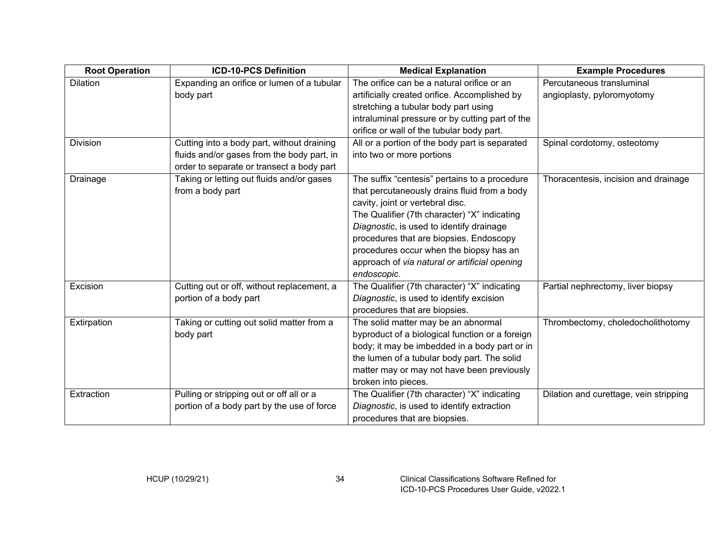| <b>Root Operation</b> | <b>ICD-10-PCS Definition</b>                                                                                | <b>Medical Explanation</b>                                                                                                                                                                                                                                                                                                                                                                                                          | <b>Example Procedures</b>                                                 |
|-----------------------|-------------------------------------------------------------------------------------------------------------|-------------------------------------------------------------------------------------------------------------------------------------------------------------------------------------------------------------------------------------------------------------------------------------------------------------------------------------------------------------------------------------------------------------------------------------|---------------------------------------------------------------------------|
| <b>Dilation</b>       | Expanding an orifice or lumen of a tubular                                                                  | The orifice can be a natural orifice or an                                                                                                                                                                                                                                                                                                                                                                                          | Percutaneous transluminal                                                 |
|                       | body part                                                                                                   | artificially created orifice. Accomplished by                                                                                                                                                                                                                                                                                                                                                                                       | angioplasty, pyloromyotomy                                                |
|                       |                                                                                                             | stretching a tubular body part using                                                                                                                                                                                                                                                                                                                                                                                                |                                                                           |
|                       |                                                                                                             | intraluminal pressure or by cutting part of the                                                                                                                                                                                                                                                                                                                                                                                     |                                                                           |
|                       |                                                                                                             | orifice or wall of the tubular body part.                                                                                                                                                                                                                                                                                                                                                                                           |                                                                           |
| <b>Division</b>       | Cutting into a body part, without draining                                                                  | All or a portion of the body part is separated                                                                                                                                                                                                                                                                                                                                                                                      | Spinal cordotomy, osteotomy                                               |
|                       | fluids and/or gases from the body part, in<br>order to separate or transect a body part                     | into two or more portions                                                                                                                                                                                                                                                                                                                                                                                                           |                                                                           |
| Drainage<br>Excision  | Taking or letting out fluids and/or gases<br>from a body part<br>Cutting out or off, without replacement, a | The suffix "centesis" pertains to a procedure<br>that percutaneously drains fluid from a body<br>cavity, joint or vertebral disc.<br>The Qualifier (7th character) "X" indicating<br>Diagnostic, is used to identify drainage<br>procedures that are biopsies. Endoscopy<br>procedures occur when the biopsy has an<br>approach of via natural or artificial opening<br>endoscopic.<br>The Qualifier (7th character) "X" indicating | Thoracentesis, incision and drainage<br>Partial nephrectomy, liver biopsy |
|                       | portion of a body part                                                                                      | Diagnostic, is used to identify excision<br>procedures that are biopsies.                                                                                                                                                                                                                                                                                                                                                           |                                                                           |
| Extirpation           | Taking or cutting out solid matter from a<br>body part                                                      | The solid matter may be an abnormal<br>byproduct of a biological function or a foreign<br>body; it may be imbedded in a body part or in                                                                                                                                                                                                                                                                                             | Thrombectomy, choledocholithotomy                                         |
|                       |                                                                                                             | the lumen of a tubular body part. The solid                                                                                                                                                                                                                                                                                                                                                                                         |                                                                           |
|                       |                                                                                                             | matter may or may not have been previously                                                                                                                                                                                                                                                                                                                                                                                          |                                                                           |
|                       |                                                                                                             | broken into pieces.                                                                                                                                                                                                                                                                                                                                                                                                                 |                                                                           |
| Extraction            | Pulling or stripping out or off all or a                                                                    | The Qualifier (7th character) "X" indicating                                                                                                                                                                                                                                                                                                                                                                                        | Dilation and curettage, vein stripping                                    |
|                       | portion of a body part by the use of force                                                                  | Diagnostic, is used to identify extraction                                                                                                                                                                                                                                                                                                                                                                                          |                                                                           |
|                       |                                                                                                             | procedures that are biopsies.                                                                                                                                                                                                                                                                                                                                                                                                       |                                                                           |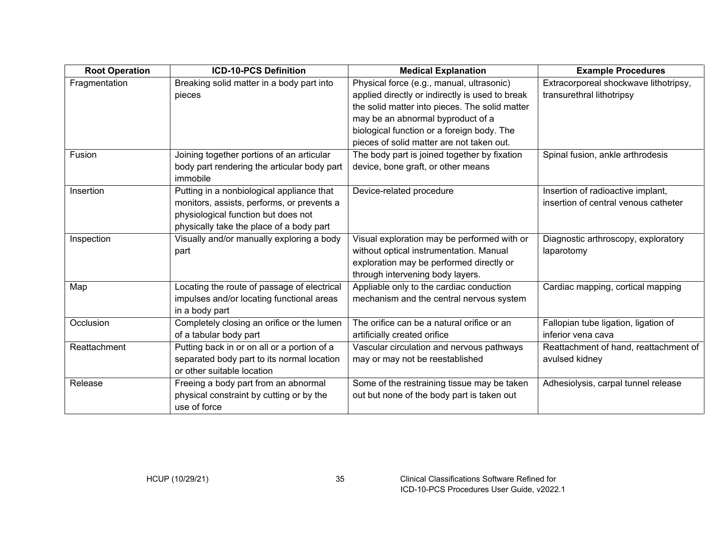| <b>Root Operation</b> | <b>ICD-10-PCS Definition</b>                | <b>Medical Explanation</b>                      | <b>Example Procedures</b>             |
|-----------------------|---------------------------------------------|-------------------------------------------------|---------------------------------------|
| Fragmentation         | Breaking solid matter in a body part into   | Physical force (e.g., manual, ultrasonic)       | Extracorporeal shockwave lithotripsy, |
|                       | pieces                                      | applied directly or indirectly is used to break | transurethral lithotripsy             |
|                       |                                             | the solid matter into pieces. The solid matter  |                                       |
|                       |                                             | may be an abnormal byproduct of a               |                                       |
|                       |                                             | biological function or a foreign body. The      |                                       |
|                       |                                             | pieces of solid matter are not taken out.       |                                       |
| Fusion                | Joining together portions of an articular   | The body part is joined together by fixation    | Spinal fusion, ankle arthrodesis      |
|                       | body part rendering the articular body part | device, bone graft, or other means              |                                       |
|                       | immobile                                    |                                                 |                                       |
| Insertion             | Putting in a nonbiological appliance that   | Device-related procedure                        | Insertion of radioactive implant,     |
|                       | monitors, assists, performs, or prevents a  |                                                 | insertion of central venous catheter  |
|                       | physiological function but does not         |                                                 |                                       |
|                       | physically take the place of a body part    |                                                 |                                       |
| Inspection            | Visually and/or manually exploring a body   | Visual exploration may be performed with or     | Diagnostic arthroscopy, exploratory   |
|                       | part                                        | without optical instrumentation. Manual         | laparotomy                            |
|                       |                                             | exploration may be performed directly or        |                                       |
|                       |                                             | through intervening body layers.                |                                       |
| Map                   | Locating the route of passage of electrical | Appliable only to the cardiac conduction        | Cardiac mapping, cortical mapping     |
|                       | impulses and/or locating functional areas   | mechanism and the central nervous system        |                                       |
|                       | in a body part                              |                                                 |                                       |
| Occlusion             | Completely closing an orifice or the lumen  | The orifice can be a natural orifice or an      | Fallopian tube ligation, ligation of  |
|                       | of a tabular body part                      | artificially created orifice                    | inferior vena cava                    |
| Reattachment          | Putting back in or on all or a portion of a | Vascular circulation and nervous pathways       | Reattachment of hand, reattachment of |
|                       | separated body part to its normal location  | may or may not be reestablished                 | avulsed kidney                        |
|                       | or other suitable location                  |                                                 |                                       |
| Release               | Freeing a body part from an abnormal        | Some of the restraining tissue may be taken     | Adhesiolysis, carpal tunnel release   |
|                       | physical constraint by cutting or by the    | out but none of the body part is taken out      |                                       |
|                       | use of force                                |                                                 |                                       |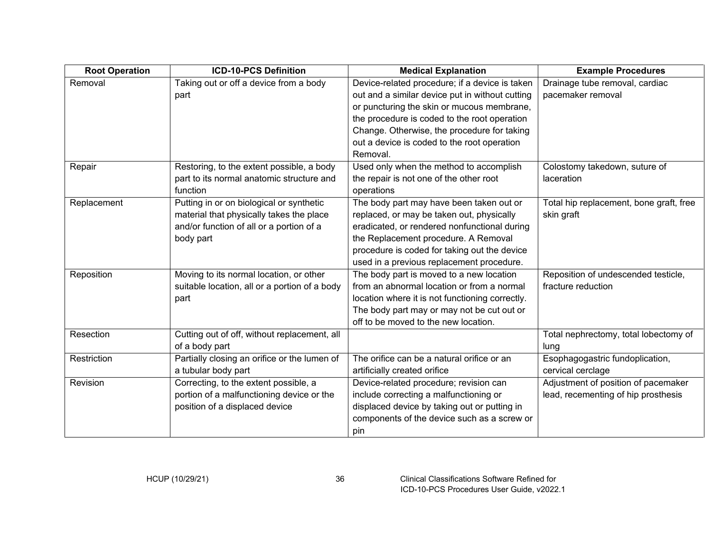| <b>Root Operation</b> | <b>ICD-10-PCS Definition</b>                  | <b>Medical Explanation</b>                      | <b>Example Procedures</b>               |
|-----------------------|-----------------------------------------------|-------------------------------------------------|-----------------------------------------|
| Removal               | Taking out or off a device from a body        | Device-related procedure; if a device is taken  | Drainage tube removal, cardiac          |
|                       | part                                          | out and a similar device put in without cutting | pacemaker removal                       |
|                       |                                               | or puncturing the skin or mucous membrane,      |                                         |
|                       |                                               | the procedure is coded to the root operation    |                                         |
|                       |                                               | Change. Otherwise, the procedure for taking     |                                         |
|                       |                                               | out a device is coded to the root operation     |                                         |
|                       |                                               | Removal.                                        |                                         |
| Repair                | Restoring, to the extent possible, a body     | Used only when the method to accomplish         | Colostomy takedown, suture of           |
|                       | part to its normal anatomic structure and     | the repair is not one of the other root         | laceration                              |
|                       | function                                      | operations                                      |                                         |
| Replacement           | Putting in or on biological or synthetic      | The body part may have been taken out or        | Total hip replacement, bone graft, free |
|                       | material that physically takes the place      | replaced, or may be taken out, physically       | skin graft                              |
|                       | and/or function of all or a portion of a      | eradicated, or rendered nonfunctional during    |                                         |
|                       | body part                                     | the Replacement procedure. A Removal            |                                         |
|                       |                                               | procedure is coded for taking out the device    |                                         |
|                       |                                               | used in a previous replacement procedure.       |                                         |
| Reposition            | Moving to its normal location, or other       | The body part is moved to a new location        | Reposition of undescended testicle,     |
|                       | suitable location, all or a portion of a body | from an abnormal location or from a normal      | fracture reduction                      |
|                       | part                                          | location where it is not functioning correctly. |                                         |
|                       |                                               | The body part may or may not be cut out or      |                                         |
|                       |                                               | off to be moved to the new location.            |                                         |
| Resection             | Cutting out of off, without replacement, all  |                                                 | Total nephrectomy, total lobectomy of   |
|                       | of a body part                                |                                                 | lung                                    |
| Restriction           | Partially closing an orifice or the lumen of  | The orifice can be a natural orifice or an      | Esophagogastric fundoplication,         |
|                       | a tubular body part                           | artificially created orifice                    | cervical cerclage                       |
| Revision              | Correcting, to the extent possible, a         | Device-related procedure; revision can          | Adjustment of position of pacemaker     |
|                       | portion of a malfunctioning device or the     | include correcting a malfunctioning or          | lead, recementing of hip prosthesis     |
|                       | position of a displaced device                | displaced device by taking out or putting in    |                                         |
|                       |                                               | components of the device such as a screw or     |                                         |
|                       |                                               | pin                                             |                                         |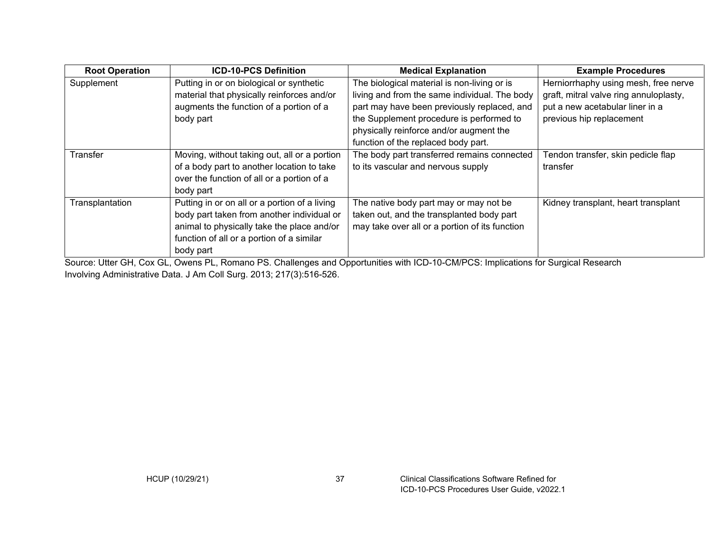| <b>Root Operation</b> | <b>ICD-10-PCS Definition</b>                  | <b>Medical Explanation</b>                                                                                             | <b>Example Procedures</b>              |
|-----------------------|-----------------------------------------------|------------------------------------------------------------------------------------------------------------------------|----------------------------------------|
| Supplement            | Putting in or on biological or synthetic      | The biological material is non-living or is                                                                            | Herniorrhaphy using mesh, free nerve   |
|                       | material that physically reinforces and/or    | living and from the same individual. The body                                                                          | graft, mitral valve ring annuloplasty, |
|                       | augments the function of a portion of a       | part may have been previously replaced, and                                                                            | put a new acetabular liner in a        |
|                       | body part                                     | the Supplement procedure is performed to                                                                               | previous hip replacement               |
|                       |                                               | physically reinforce and/or augment the                                                                                |                                        |
|                       |                                               | function of the replaced body part.                                                                                    |                                        |
| Transfer              | Moving, without taking out, all or a portion  | The body part transferred remains connected                                                                            | Tendon transfer, skin pedicle flap     |
|                       | of a body part to another location to take    | to its vascular and nervous supply                                                                                     | transfer                               |
|                       | over the function of all or a portion of a    |                                                                                                                        |                                        |
|                       | body part                                     |                                                                                                                        |                                        |
| Transplantation       | Putting in or on all or a portion of a living | The native body part may or may not be                                                                                 | Kidney transplant, heart transplant    |
|                       | body part taken from another individual or    | taken out, and the transplanted body part                                                                              |                                        |
|                       | animal to physically take the place and/or    | may take over all or a portion of its function                                                                         |                                        |
|                       | function of all or a portion of a similar     |                                                                                                                        |                                        |
|                       | body part                                     |                                                                                                                        |                                        |
|                       |                                               | Cornera Hills (OH, Original District De Obelliance and Original United ON 10 OMDOO: Insultations for Original Descendi |                                        |

Source: Utter GH, Cox GL, Owens PL, Romano PS. Challenges and Opportunities with ICD-10-CM/PCS: Implications for Surgical Research Involving Administrative Data. J Am Coll Surg. 2013; 217(3):516-526.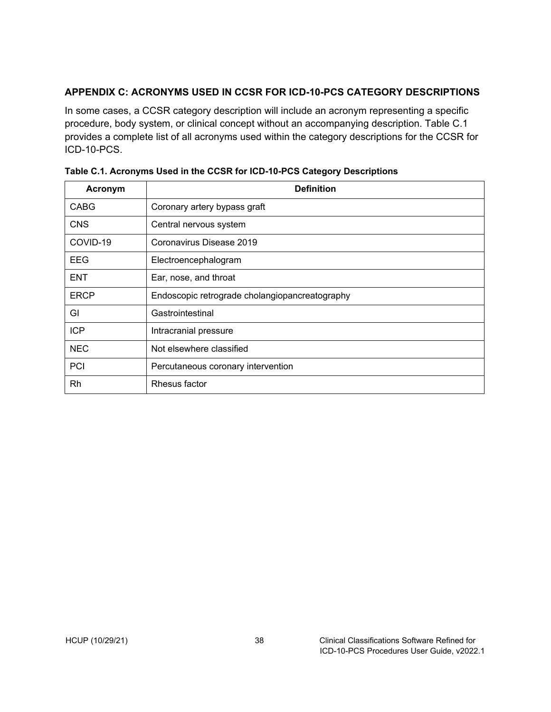### <span id="page-41-0"></span>**APPENDIX C: ACRONYMS USED IN CCSR FOR ICD-10-PCS CATEGORY DESCRIPTIONS**

In some cases, a CCSR category description will include an acronym representing a specific procedure, body system, or clinical concept without an accompanying description. Table C.1 provides a complete list of all acronyms used within the category descriptions for the CCSR for ICD-10-PCS.

| Acronym     | <b>Definition</b>                              |  |
|-------------|------------------------------------------------|--|
| <b>CABG</b> | Coronary artery bypass graft                   |  |
| <b>CNS</b>  | Central nervous system                         |  |
| COVID-19    | Coronavirus Disease 2019                       |  |
| EEG         | Electroencephalogram                           |  |
| <b>ENT</b>  | Ear, nose, and throat                          |  |
| <b>ERCP</b> | Endoscopic retrograde cholangiopancreatography |  |
| GI          | Gastrointestinal                               |  |
| <b>ICP</b>  | Intracranial pressure                          |  |
| <b>NEC</b>  | Not elsewhere classified                       |  |
| PCI         | Percutaneous coronary intervention             |  |
| Rh          | Rhesus factor                                  |  |

<span id="page-41-1"></span>

| Table C.1. Acronyms Used in the CCSR for ICD-10-PCS Category Descriptions |  |  |
|---------------------------------------------------------------------------|--|--|
|                                                                           |  |  |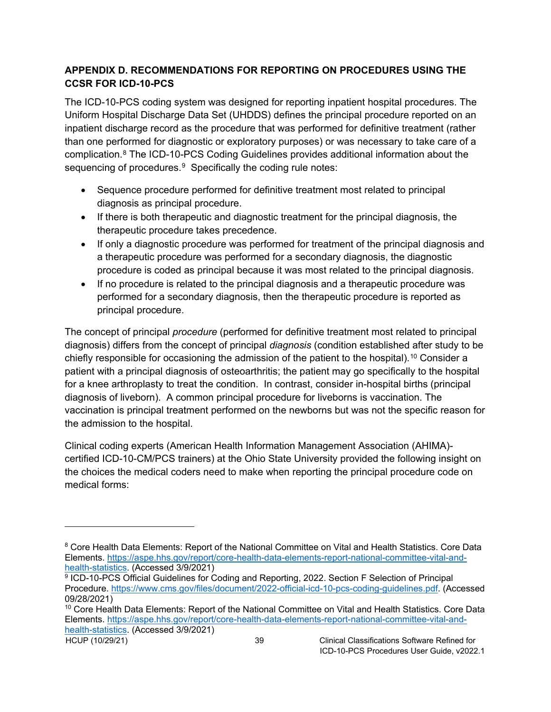### <span id="page-42-0"></span>**APPENDIX D. RECOMMENDATIONS FOR REPORTING ON PROCEDURES USING THE CCSR FOR ICD-10-PCS**

The ICD-10-PCS coding system was designed for reporting inpatient hospital procedures. The Uniform Hospital Discharge Data Set (UHDDS) defines the principal procedure reported on an inpatient discharge record as the procedure that was performed for definitive treatment (rather than one performed for diagnostic or exploratory purposes) or was necessary to take care of a complication.[8](#page-42-1) The ICD-10-PCS Coding Guidelines provides additional information about the sequencing of procedures.<sup>[9](#page-42-2)</sup> Specifically the coding rule notes:

- Sequence procedure performed for definitive treatment most related to principal diagnosis as principal procedure.
- If there is both therapeutic and diagnostic treatment for the principal diagnosis, the therapeutic procedure takes precedence.
- If only a diagnostic procedure was performed for treatment of the principal diagnosis and a therapeutic procedure was performed for a secondary diagnosis, the diagnostic procedure is coded as principal because it was most related to the principal diagnosis.
- If no procedure is related to the principal diagnosis and a therapeutic procedure was performed for a secondary diagnosis, then the therapeutic procedure is reported as principal procedure.

The concept of principal *procedure* (performed for definitive treatment most related to principal diagnosis) differs from the concept of principal *diagnosis* (condition established after study to be chiefly responsible for occasioning the admission of the patient to the hospital). $^{\mathsf{10}}$  $^{\mathsf{10}}$  $^{\mathsf{10}}$  Consider a patient with a principal diagnosis of osteoarthritis; the patient may go specifically to the hospital for a knee arthroplasty to treat the condition. In contrast, consider in-hospital births (principal diagnosis of liveborn). A common principal procedure for liveborns is vaccination. The vaccination is principal treatment performed on the newborns but was not the specific reason for the admission to the hospital.

Clinical coding experts (American Health Information Management Association (AHIMA) certified ICD-10-CM/PCS trainers) at the Ohio State University provided the following insight on the choices the medical coders need to make when reporting the principal procedure code on medical forms:

<span id="page-42-1"></span><sup>8</sup> Core Health Data Elements: Report of the National Committee on Vital and Health Statistics. Core Data Elements. [https://aspe.hhs.gov/report/core-health-data-elements-report-national-committee-vital-and](https://aspe.hhs.gov/report/core-health-data-elements-report-national-committee-vital-and-health-statistics)[health-statistics.](https://aspe.hhs.gov/report/core-health-data-elements-report-national-committee-vital-and-health-statistics) (Accessed 3/9/2021)

<span id="page-42-2"></span><sup>9</sup> ICD-10-PCS Official Guidelines for Coding and Reporting, 2022. Section F Selection of Principal Procedure. [https://www.cms.gov/files/document/2022-official-icd-10-pcs-coding-guidelines.pdf.](https://www.cms.gov/files/document/2022-official-icd-10-pcs-coding-guidelines.pdf) (Accessed 09/28/2021)

<span id="page-42-3"></span><sup>10</sup> Core Health Data Elements: Report of the National Committee on Vital and Health Statistics. Core Data Elements. [https://aspe.hhs.gov/report/core-health-data-elements-report-national-committee-vital-and](https://aspe.hhs.gov/report/core-health-data-elements-report-national-committee-vital-and-health-statistics)[health-statistics.](https://aspe.hhs.gov/report/core-health-data-elements-report-national-committee-vital-and-health-statistics) (Accessed 3/9/2021)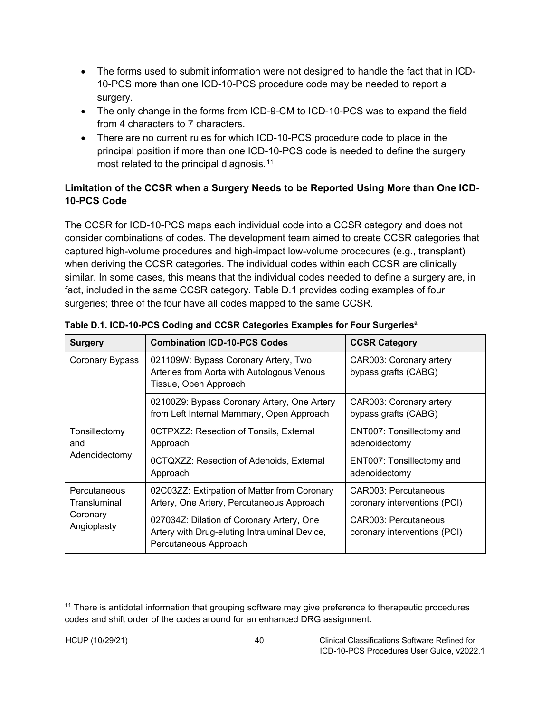- The forms used to submit information were not designed to handle the fact that in ICD-10-PCS more than one ICD-10-PCS procedure code may be needed to report a surgery.
- The only change in the forms from ICD-9-CM to ICD-10-PCS was to expand the field from 4 characters to 7 characters.
- There are no current rules for which ICD-10-PCS procedure code to place in the principal position if more than one ICD-10-PCS code is needed to define the surgery most related to the principal diagnosis.<sup>[11](#page-43-2)</sup>

# <span id="page-43-0"></span>**Limitation of the CCSR when a Surgery Needs to be Reported Using More than One ICD-10-PCS Code**

The CCSR for ICD-10-PCS maps each individual code into a CCSR category and does not consider combinations of codes. The development team aimed to create CCSR categories that captured high-volume procedures and high-impact low-volume procedures (e.g., transplant) when deriving the CCSR categories. The individual codes within each CCSR are clinically similar. In some cases, this means that the individual codes needed to define a surgery are, in fact, included in the same CCSR category. Table D.1 provides coding examples of four surgeries; three of the four have all codes mapped to the same CCSR.

| <b>Surgery</b>                                          | <b>Combination ICD-10-PCS Codes</b>                                                                                 | <b>CCSR Category</b>                                        |
|---------------------------------------------------------|---------------------------------------------------------------------------------------------------------------------|-------------------------------------------------------------|
| Coronary Bypass                                         | 021109W: Bypass Coronary Artery, Two<br>Arteries from Aorta with Autologous Venous<br>Tissue, Open Approach         | CAR003: Coronary artery<br>bypass grafts (CABG)             |
|                                                         | 02100Z9: Bypass Coronary Artery, One Artery<br>from Left Internal Mammary, Open Approach                            | CAR003: Coronary artery<br>bypass grafts (CABG)             |
| Tonsillectomy<br>and<br>Adenoidectomy                   | <b>OCTPXZZ: Resection of Tonsils, External</b><br>Approach                                                          | ENT007: Tonsillectomy and<br>adenoidectomy                  |
|                                                         | 0CTQXZZ: Resection of Adenoids, External<br>Approach                                                                | ENT007: Tonsillectomy and<br>adenoidectomy                  |
| Percutaneous<br>Transluminal<br>Coronary<br>Angioplasty | 02C03ZZ: Extirpation of Matter from Coronary<br>Artery, One Artery, Percutaneous Approach                           | <b>CAR003: Percutaneous</b><br>coronary interventions (PCI) |
|                                                         | 027034Z: Dilation of Coronary Artery, One<br>Artery with Drug-eluting Intraluminal Device,<br>Percutaneous Approach | CAR003: Percutaneous<br>coronary interventions (PCI)        |

<span id="page-43-1"></span>

| Table D.1. ICD-10-PCS Coding and CCSR Categories Examples for Four Surgeriesª |  |  |
|-------------------------------------------------------------------------------|--|--|
|                                                                               |  |  |

<span id="page-43-2"></span><sup>&</sup>lt;sup>11</sup> There is antidotal information that grouping software may give preference to therapeutic procedures codes and shift order of the codes around for an enhanced DRG assignment.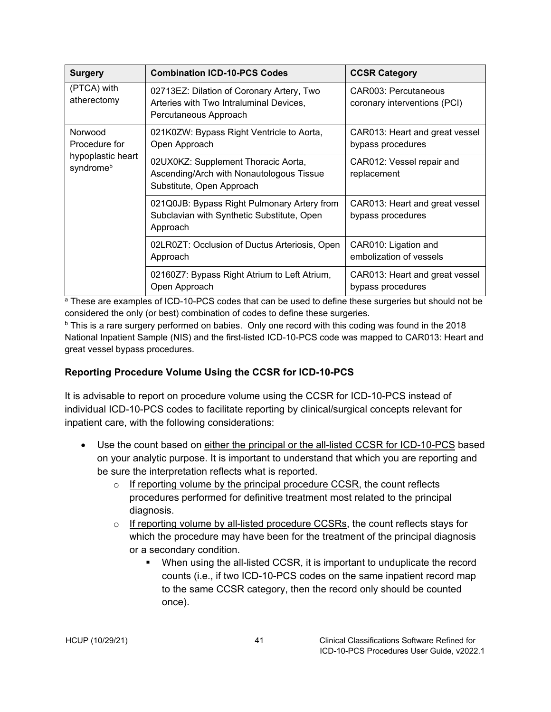| <b>Surgery</b>                                             | <b>Combination ICD-10-PCS Codes</b>                                                                           | <b>CCSR Category</b>                                 |  |
|------------------------------------------------------------|---------------------------------------------------------------------------------------------------------------|------------------------------------------------------|--|
| (PTCA) with<br>atherectomy                                 | 02713EZ: Dilation of Coronary Artery, Two<br>Arteries with Two Intraluminal Devices,<br>Percutaneous Approach | CAR003: Percutaneous<br>coronary interventions (PCI) |  |
| Norwood<br>Procedure for<br>hypoplastic heart<br>syndromeb | 021K0ZW: Bypass Right Ventricle to Aorta,<br>Open Approach                                                    | CAR013: Heart and great vessel<br>bypass procedures  |  |
|                                                            | 02UX0KZ: Supplement Thoracic Aorta,<br>Ascending/Arch with Nonautologous Tissue<br>Substitute, Open Approach  | CAR012: Vessel repair and<br>replacement             |  |
|                                                            | 021Q0JB: Bypass Right Pulmonary Artery from<br>Subclavian with Synthetic Substitute, Open<br>Approach         | CAR013: Heart and great vessel<br>bypass procedures  |  |
|                                                            | 02LR0ZT: Occlusion of Ductus Arteriosis, Open<br>Approach                                                     | CAR010: Ligation and<br>embolization of vessels      |  |
|                                                            | 02160Z7: Bypass Right Atrium to Left Atrium,<br>Open Approach                                                 | CAR013: Heart and great vessel<br>bypass procedures  |  |

<sup>a</sup> These are examples of ICD-10-PCS codes that can be used to define these surgeries but should not be considered the only (or best) combination of codes to define these surgeries.

 $b$  This is a rare surgery performed on babies. Only one record with this coding was found in the 2018 National Inpatient Sample (NIS) and the first-listed ICD-10-PCS code was mapped to CAR013: Heart and great vessel bypass procedures.

### <span id="page-44-0"></span>**Reporting Procedure Volume Using the CCSR for ICD-10-PCS**

It is advisable to report on procedure volume using the CCSR for ICD-10-PCS instead of individual ICD-10-PCS codes to facilitate reporting by clinical/surgical concepts relevant for inpatient care, with the following considerations:

- Use the count based on either the principal or the all-listed CCSR for ICD-10-PCS based on your analytic purpose. It is important to understand that which you are reporting and be sure the interpretation reflects what is reported.
	- $\circ$  If reporting volume by the principal procedure CCSR, the count reflects procedures performed for definitive treatment most related to the principal diagnosis.
	- $\circ$  If reporting volume by all-listed procedure CCSRs, the count reflects stays for which the procedure may have been for the treatment of the principal diagnosis or a secondary condition.
		- When using the all-listed CCSR, it is important to unduplicate the record counts (i.e., if two ICD-10-PCS codes on the same inpatient record map to the same CCSR category, then the record only should be counted once).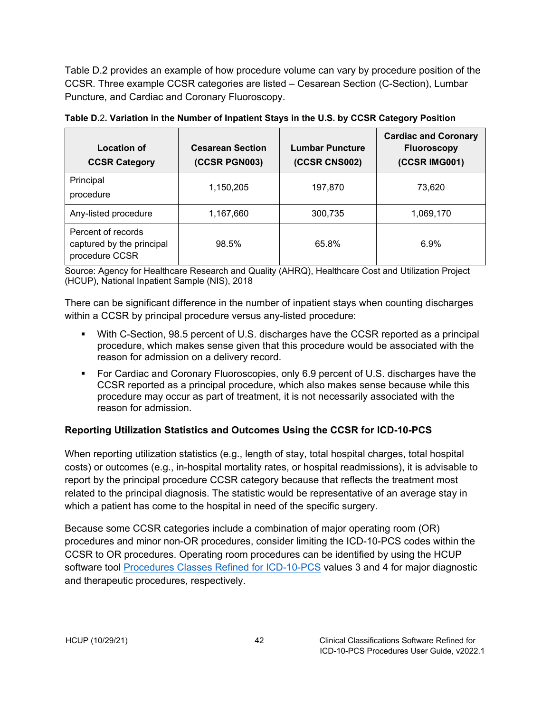Table D.2 provides an example of how procedure volume can vary by procedure position of the CCSR. Three example CCSR categories are listed – Cesarean Section (C-Section), Lumbar Puncture, and Cardiac and Coronary Fluoroscopy.

| <b>Location of</b><br><b>CCSR Category</b>                        | <b>Cesarean Section</b><br>(CCSR PGN003) | <b>Lumbar Puncture</b><br>(CCSR CNS002) | <b>Cardiac and Coronary</b><br><b>Fluoroscopy</b><br>(CCSR IMG001) |
|-------------------------------------------------------------------|------------------------------------------|-----------------------------------------|--------------------------------------------------------------------|
| Principal<br>procedure                                            | 1,150,205                                | 197,870                                 | 73,620                                                             |
| Any-listed procedure                                              | 1,167,660                                | 300,735                                 | 1,069,170                                                          |
| Percent of records<br>captured by the principal<br>procedure CCSR | 98.5%                                    | 65.8%                                   | 6.9%                                                               |

<span id="page-45-1"></span>**Table D.**2**. Variation in the Number of Inpatient Stays in the U.S. by CCSR Category Position**

Source: Agency for Healthcare Research and Quality (AHRQ), Healthcare Cost and Utilization Project (HCUP), National Inpatient Sample (NIS), 2018

There can be significant difference in the number of inpatient stays when counting discharges within a CCSR by principal procedure versus any-listed procedure:

- With C-Section, 98.5 percent of U.S. discharges have the CCSR reported as a principal procedure, which makes sense given that this procedure would be associated with the reason for admission on a delivery record.
- For Cardiac and Coronary Fluoroscopies, only 6.9 percent of U.S. discharges have the CCSR reported as a principal procedure, which also makes sense because while this procedure may occur as part of treatment, it is not necessarily associated with the reason for admission.

### <span id="page-45-0"></span>**Reporting Utilization Statistics and Outcomes Using the CCSR for ICD-10-PCS**

When reporting utilization statistics (e.g., length of stay, total hospital charges, total hospital costs) or outcomes (e.g., in-hospital mortality rates, or hospital readmissions), it is advisable to report by the principal procedure CCSR category because that reflects the treatment most related to the principal diagnosis. The statistic would be representative of an average stay in which a patient has come to the hospital in need of the specific surgery.

Because some CCSR categories include a combination of major operating room (OR) procedures and minor non-OR procedures, consider limiting the ICD-10-PCS codes within the CCSR to OR procedures. Operating room procedures can be identified by using the HCUP software tool [Procedures Classes Refined for ICD-10-PCS](https://www.hcup-us.ahrq.gov/toolssoftware/procedureicd10/procedure_icd10.jsp) values 3 and 4 for major diagnostic and therapeutic procedures, respectively.